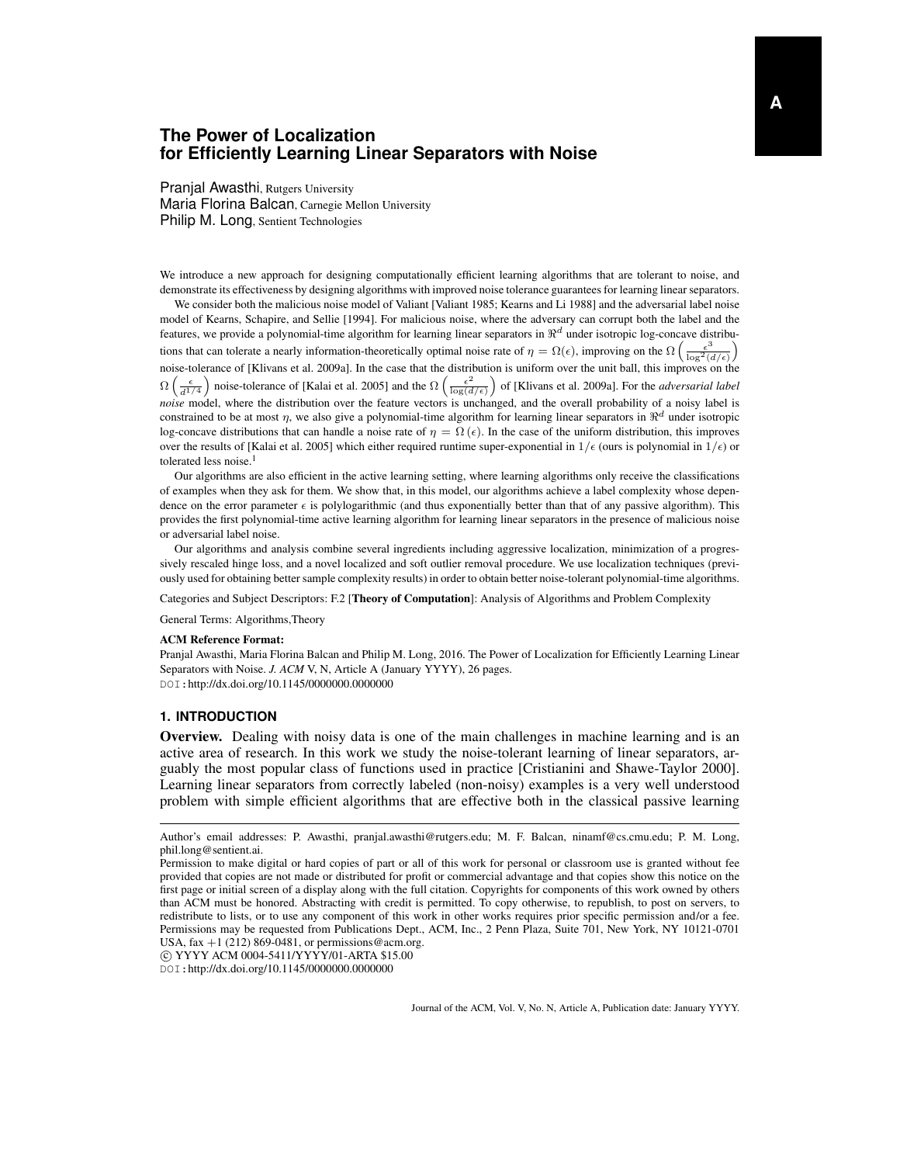# **The Power of Localization for Efficiently Learning Linear Separators with Noise**

Pranjal Awasthi, Rutgers University Maria Florina Balcan, Carnegie Mellon University Philip M. Long, Sentient Technologies

We introduce a new approach for designing computationally efficient learning algorithms that are tolerant to noise, and demonstrate its effectiveness by designing algorithms with improved noise tolerance guarantees for learning linear separators.

We consider both the malicious noise model of Valiant [Valiant 1985; Kearns and Li 1988] and the adversarial label noise model of Kearns, Schapire, and Sellie [1994]. For malicious noise, where the adversary can corrupt both the label and the features, we provide a polynomial-time algorithm for learning linear separators in  $\Re^d$  under isotropic log-concave distributions that can tolerate a nearly information-theoretically optimal noise rate of  $\eta = \Omega(\epsilon)$ , improving on the  $\Omega\left(\frac{\epsilon^3}{\log^2(d/\epsilon)}\right)$ noise-tolerance of [Klivans et al. 2009a]. In the case that the distribution is uniform over the unit ball, this improves on the  $\Omega\left(\frac{\epsilon}{d^{1/4}}\right)$  noise-tolerance of [Kalai et al. 2005] and the  $\Omega\left(\frac{\epsilon^2}{\log(d)}\right)$  $\frac{\epsilon^2}{\log(d/\epsilon)}$  of [Klivans et al. 2009a]. For the *adversarial label noise* model, where the distribution over the feature vectors is unchanged, and the overall probability of a noisy label is constrained to be at most  $\eta$ , we also give a polynomial-time algorithm for learning linear separators in  $\Re^d$  under isotropic log-concave distributions that can handle a noise rate of  $\eta = \Omega(\epsilon)$ . In the case of the uniform distribution, this improves over the results of [Kalai et al. 2005] which either required runtime super-exponential in  $1/\epsilon$  (ours is polynomial in  $1/\epsilon$ ) or tolerated less noise.<sup>1</sup>

Our algorithms are also efficient in the active learning setting, where learning algorithms only receive the classifications of examples when they ask for them. We show that, in this model, our algorithms achieve a label complexity whose dependence on the error parameter  $\epsilon$  is polylogarithmic (and thus exponentially better than that of any passive algorithm). This provides the first polynomial-time active learning algorithm for learning linear separators in the presence of malicious noise or adversarial label noise.

Our algorithms and analysis combine several ingredients including aggressive localization, minimization of a progressively rescaled hinge loss, and a novel localized and soft outlier removal procedure. We use localization techniques (previously used for obtaining better sample complexity results) in order to obtain better noise-tolerant polynomial-time algorithms.

Categories and Subject Descriptors: F.2 [Theory of Computation]: Analysis of Algorithms and Problem Complexity

General Terms: Algorithms,Theory

#### ACM Reference Format:

Pranjal Awasthi, Maria Florina Balcan and Philip M. Long, 2016. The Power of Localization for Efficiently Learning Linear Separators with Noise. *J. ACM* V, N, Article A (January YYYY), 26 pages. DOI:http://dx.doi.org/10.1145/0000000.0000000

#### **1. INTRODUCTION**

Overview. Dealing with noisy data is one of the main challenges in machine learning and is an active area of research. In this work we study the noise-tolerant learning of linear separators, arguably the most popular class of functions used in practice [Cristianini and Shawe-Taylor 2000]. Learning linear separators from correctly labeled (non-noisy) examples is a very well understood problem with simple efficient algorithms that are effective both in the classical passive learning

c YYYY ACM 0004-5411/YYYY/01-ARTA \$15.00

DOI:http://dx.doi.org/10.1145/0000000.0000000

Author's email addresses: P. Awasthi, pranjal.awasthi@rutgers.edu; M. F. Balcan, ninamf@cs.cmu.edu; P. M. Long, phil.long@sentient.ai.

Permission to make digital or hard copies of part or all of this work for personal or classroom use is granted without fee provided that copies are not made or distributed for profit or commercial advantage and that copies show this notice on the first page or initial screen of a display along with the full citation. Copyrights for components of this work owned by others than ACM must be honored. Abstracting with credit is permitted. To copy otherwise, to republish, to post on servers, to redistribute to lists, or to use any component of this work in other works requires prior specific permission and/or a fee. Permissions may be requested from Publications Dept., ACM, Inc., 2 Penn Plaza, Suite 701, New York, NY 10121-0701 USA, fax  $+1$  (212) 869-0481, or permissions@acm.org.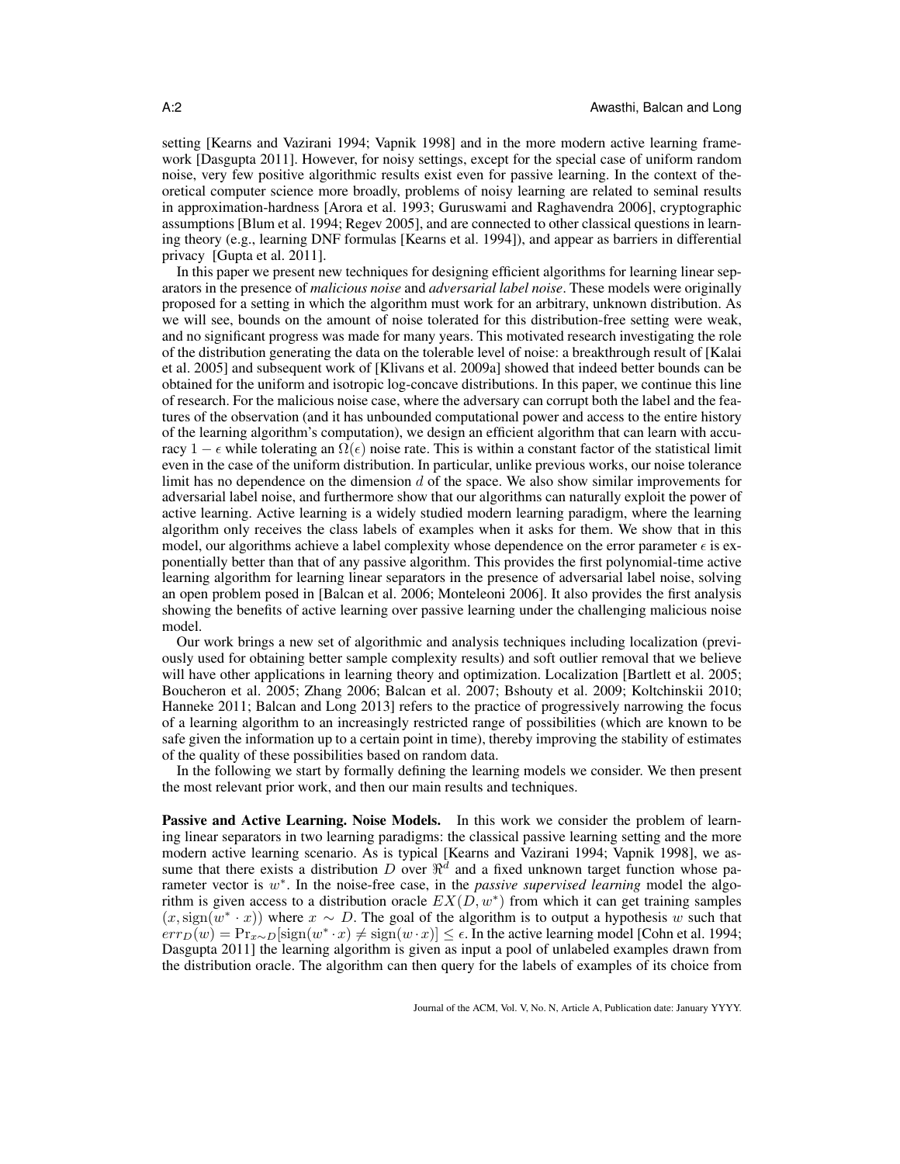setting [Kearns and Vazirani 1994; Vapnik 1998] and in the more modern active learning framework [Dasgupta 2011]. However, for noisy settings, except for the special case of uniform random noise, very few positive algorithmic results exist even for passive learning. In the context of theoretical computer science more broadly, problems of noisy learning are related to seminal results in approximation-hardness [Arora et al. 1993; Guruswami and Raghavendra 2006], cryptographic assumptions [Blum et al. 1994; Regev 2005], and are connected to other classical questions in learning theory (e.g., learning DNF formulas [Kearns et al. 1994]), and appear as barriers in differential privacy [Gupta et al. 2011].

In this paper we present new techniques for designing efficient algorithms for learning linear separators in the presence of *malicious noise* and *adversarial label noise*. These models were originally proposed for a setting in which the algorithm must work for an arbitrary, unknown distribution. As we will see, bounds on the amount of noise tolerated for this distribution-free setting were weak, and no significant progress was made for many years. This motivated research investigating the role of the distribution generating the data on the tolerable level of noise: a breakthrough result of [Kalai et al. 2005] and subsequent work of [Klivans et al. 2009a] showed that indeed better bounds can be obtained for the uniform and isotropic log-concave distributions. In this paper, we continue this line of research. For the malicious noise case, where the adversary can corrupt both the label and the features of the observation (and it has unbounded computational power and access to the entire history of the learning algorithm's computation), we design an efficient algorithm that can learn with accuracy 1 –  $\epsilon$  while tolerating an  $\Omega(\epsilon)$  noise rate. This is within a constant factor of the statistical limit even in the case of the uniform distribution. In particular, unlike previous works, our noise tolerance limit has no dependence on the dimension  $d$  of the space. We also show similar improvements for adversarial label noise, and furthermore show that our algorithms can naturally exploit the power of active learning. Active learning is a widely studied modern learning paradigm, where the learning algorithm only receives the class labels of examples when it asks for them. We show that in this model, our algorithms achieve a label complexity whose dependence on the error parameter  $\epsilon$  is exponentially better than that of any passive algorithm. This provides the first polynomial-time active learning algorithm for learning linear separators in the presence of adversarial label noise, solving an open problem posed in [Balcan et al. 2006; Monteleoni 2006]. It also provides the first analysis showing the benefits of active learning over passive learning under the challenging malicious noise model.

Our work brings a new set of algorithmic and analysis techniques including localization (previously used for obtaining better sample complexity results) and soft outlier removal that we believe will have other applications in learning theory and optimization. Localization [Bartlett et al. 2005; Boucheron et al. 2005; Zhang 2006; Balcan et al. 2007; Bshouty et al. 2009; Koltchinskii 2010; Hanneke 2011; Balcan and Long 2013] refers to the practice of progressively narrowing the focus of a learning algorithm to an increasingly restricted range of possibilities (which are known to be safe given the information up to a certain point in time), thereby improving the stability of estimates of the quality of these possibilities based on random data.

In the following we start by formally defining the learning models we consider. We then present the most relevant prior work, and then our main results and techniques.

Passive and Active Learning. Noise Models. In this work we consider the problem of learning linear separators in two learning paradigms: the classical passive learning setting and the more modern active learning scenario. As is typical [Kearns and Vazirani 1994; Vapnik 1998], we assume that there exists a distribution D over  $\mathbb{R}^d$  and a fixed unknown target function whose parameter vector is w<sup>\*</sup>. In the noise-free case, in the *passive supervised learning* model the algorithm is given access to a distribution oracle  $EX(D, w^*)$  from which it can get training samples  $(x, sign(w^* \cdot x))$  where  $x \sim D$ . The goal of the algorithm is to output a hypothesis w such that  $\overline{err_D(w)} = \overline{Pr_{x \sim D}}[\text{sign}(w^* \cdot x) \neq \text{sign}(w \cdot x)] \leq \epsilon$ . In the active learning model [Cohn et al. 1994; Dasgupta 2011] the learning algorithm is given as input a pool of unlabeled examples drawn from the distribution oracle. The algorithm can then query for the labels of examples of its choice from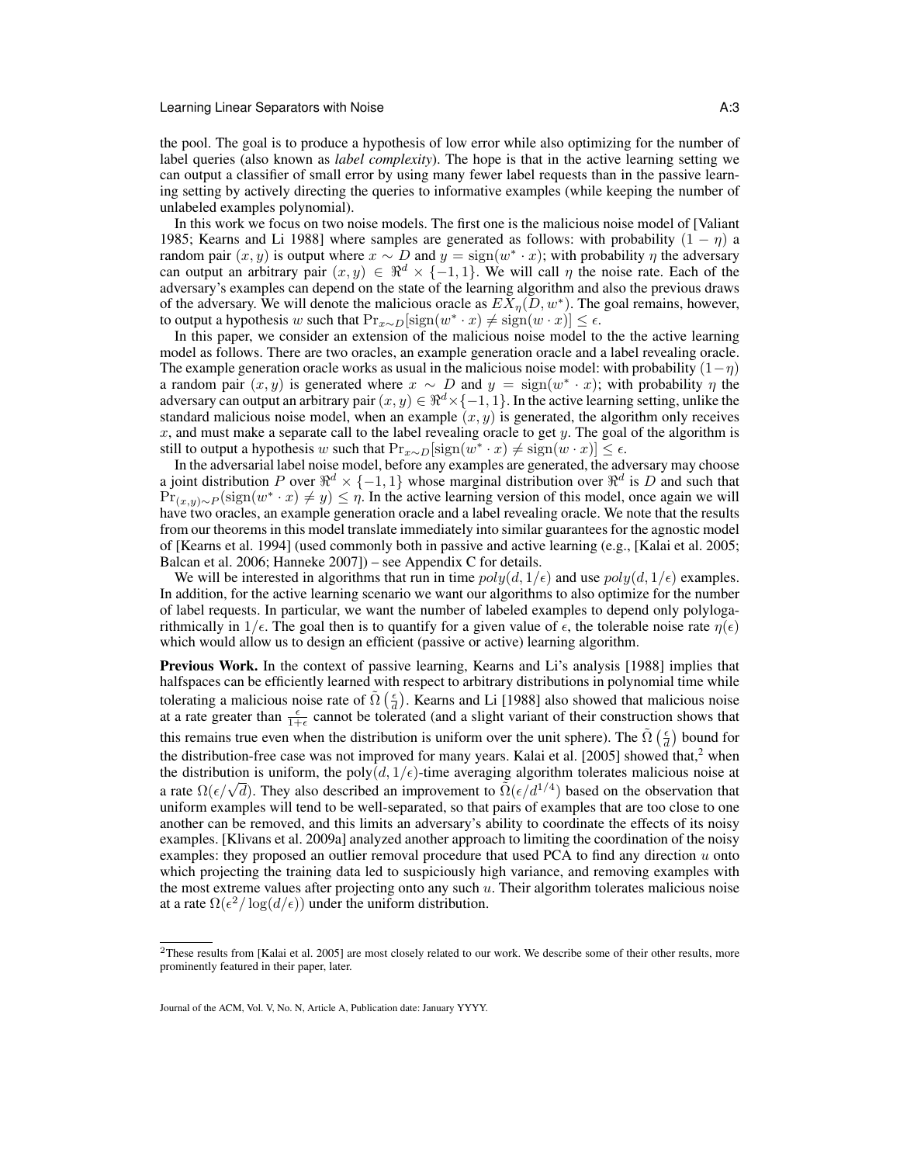the pool. The goal is to produce a hypothesis of low error while also optimizing for the number of label queries (also known as *label complexity*). The hope is that in the active learning setting we can output a classifier of small error by using many fewer label requests than in the passive learning setting by actively directing the queries to informative examples (while keeping the number of unlabeled examples polynomial).

In this work we focus on two noise models. The first one is the malicious noise model of [Valiant 1985; Kearns and Li 1988] where samples are generated as follows: with probability  $(1 - \eta)$  a random pair  $(x, y)$  is output where  $x \sim D$  and  $y = sign(w^* \cdot x)$ ; with probability  $\eta$  the adversary can output an arbitrary pair  $(x, y) \in \Re^d \times \{-1, 1\}$ . We will call  $\eta$  the noise rate. Each of the adversary's examples can depend on the state of the learning algorithm and also the previous draws of the adversary. We will denote the malicious oracle as  $E\bar{X}_{\eta}(D, w^*)$ . The goal remains, however, to output a hypothesis w such that  $Pr_{x \sim D}[\text{sign}(w^* \cdot x) \neq \text{sign}(w \cdot x)] \leq \epsilon$ .

In this paper, we consider an extension of the malicious noise model to the the active learning model as follows. There are two oracles, an example generation oracle and a label revealing oracle. The example generation oracle works as usual in the malicious noise model: with probability  $(1-\eta)$ a random pair  $(x, y)$  is generated where  $x \sim D$  and  $y = sign(w^* \cdot x)$ ; with probability  $\eta$  the adversary can output an arbitrary pair  $(x, y) \in \mathbb{R}^d \times \{-1, 1\}$ . In the active learning setting, unlike the standard malicious noise model, when an example  $(x, y)$  is generated, the algorithm only receives  $x$ , and must make a separate call to the label revealing oracle to get  $y$ . The goal of the algorithm is still to output a hypothesis w such that  $Pr_{x \sim D}[\text{sign}(w^* \cdot x) \neq \text{sign}(w \cdot x)] \leq \epsilon$ .

In the adversarial label noise model, before any examples are generated, the adversary may choose a joint distribution P over  $\mathbb{R}^d \times \{-1,1\}$  whose marginal distribution over  $\mathbb{R}^d$  is D and such that  $Pr_{(x,y)\sim P}(\text{sign}(w^* \cdot x) \neq y) \leq \eta$ . In the active learning version of this model, once again we will have two oracles, an example generation oracle and a label revealing oracle. We note that the results from our theorems in this model translate immediately into similar guarantees for the agnostic model of [Kearns et al. 1994] (used commonly both in passive and active learning (e.g., [Kalai et al. 2005; Balcan et al. 2006; Hanneke 2007]) – see Appendix C for details.

We will be interested in algorithms that run in time  $poly(d, 1/\epsilon)$  and use  $poly(d, 1/\epsilon)$  examples. In addition, for the active learning scenario we want our algorithms to also optimize for the number of label requests. In particular, we want the number of labeled examples to depend only polylogarithmically in  $1/\epsilon$ . The goal then is to quantify for a given value of  $\epsilon$ , the tolerable noise rate  $\eta(\epsilon)$ which would allow us to design an efficient (passive or active) learning algorithm.

Previous Work. In the context of passive learning, Kearns and Li's analysis [1988] implies that halfspaces can be efficiently learned with respect to arbitrary distributions in polynomial time while tolerating a malicious noise rate of  $\tilde{\Omega}(\frac{\epsilon}{d})$ . Kearns and Li [1988] also showed that malicious noise at a rate greater than  $\frac{\epsilon}{1+\epsilon}$  cannot be tolerated (and a slight variant of their construction shows that this remains true even when the distribution is uniform over the unit sphere). The  $\tilde{\Omega}(\frac{\epsilon}{d})$  bound for the distribution-free case was not improved for many years. Kalai et al. [2005] showed that, $2$  when the distribution is uniform, the poly $(d, 1/\epsilon)$ -time averaging algorithm tolerates malicious noise at a rate  $\Omega(\epsilon/\sqrt{d})$ . They also described an improvement to  $\tilde{\Omega}(\epsilon/d^{1/4})$  based on the observation that uniform examples will tend to be well-separated, so that pairs of examples that are too close to one another can be removed, and this limits an adversary's ability to coordinate the effects of its noisy examples. [Klivans et al. 2009a] analyzed another approach to limiting the coordination of the noisy examples: they proposed an outlier removal procedure that used PCA to find any direction  $u$  onto which projecting the training data led to suspiciously high variance, and removing examples with the most extreme values after projecting onto any such  $u$ . Their algorithm tolerates malicious noise at a rate  $\Omega(\epsilon^2/\log(d/\epsilon))$  under the uniform distribution.

<sup>&</sup>lt;sup>2</sup>These results from [Kalai et al. 2005] are most closely related to our work. We describe some of their other results, more prominently featured in their paper, later.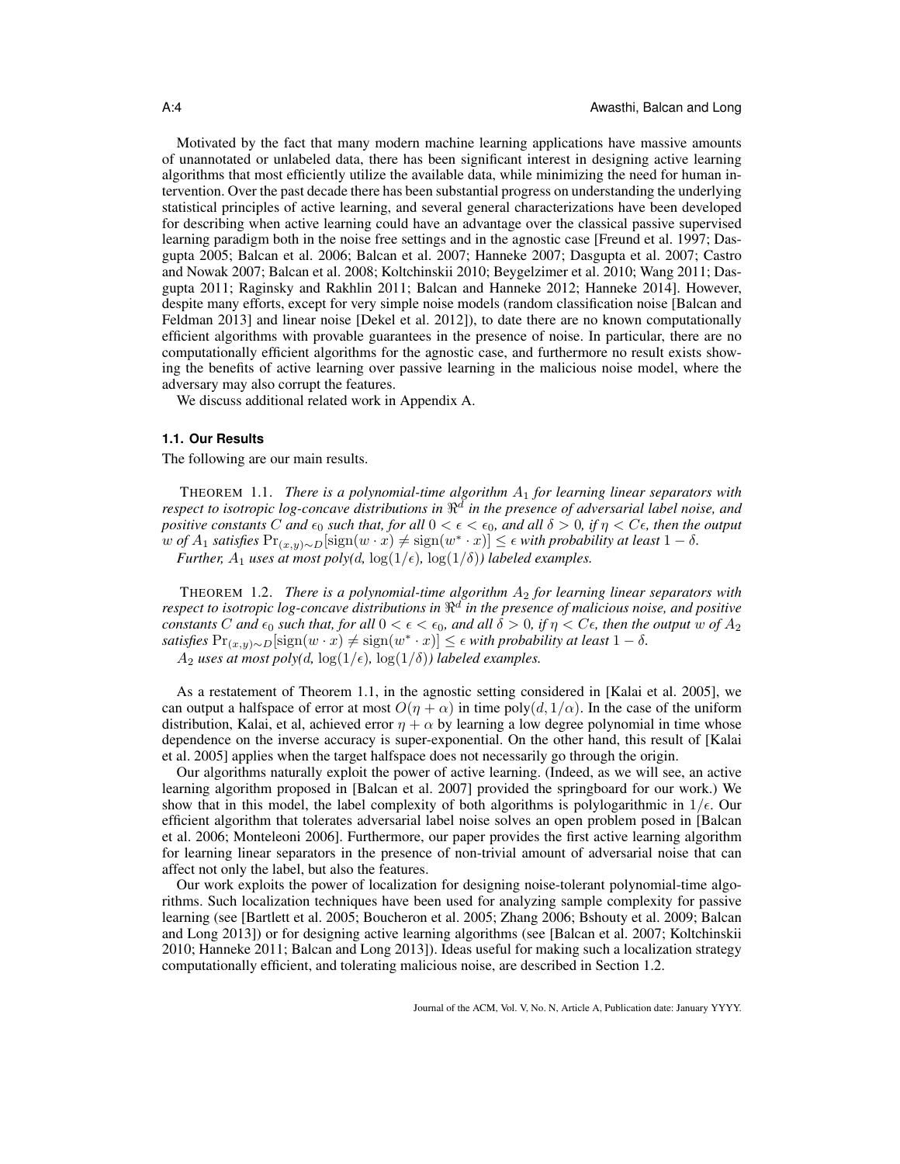Motivated by the fact that many modern machine learning applications have massive amounts of unannotated or unlabeled data, there has been significant interest in designing active learning algorithms that most efficiently utilize the available data, while minimizing the need for human intervention. Over the past decade there has been substantial progress on understanding the underlying statistical principles of active learning, and several general characterizations have been developed for describing when active learning could have an advantage over the classical passive supervised learning paradigm both in the noise free settings and in the agnostic case [Freund et al. 1997; Dasgupta 2005; Balcan et al. 2006; Balcan et al. 2007; Hanneke 2007; Dasgupta et al. 2007; Castro and Nowak 2007; Balcan et al. 2008; Koltchinskii 2010; Beygelzimer et al. 2010; Wang 2011; Dasgupta 2011; Raginsky and Rakhlin 2011; Balcan and Hanneke 2012; Hanneke 2014]. However, despite many efforts, except for very simple noise models (random classification noise [Balcan and Feldman 2013] and linear noise [Dekel et al. 2012]), to date there are no known computationally efficient algorithms with provable guarantees in the presence of noise. In particular, there are no computationally efficient algorithms for the agnostic case, and furthermore no result exists showing the benefits of active learning over passive learning in the malicious noise model, where the adversary may also corrupt the features.

We discuss additional related work in Appendix A.

### **1.1. Our Results**

The following are our main results.

THEOREM 1.1. *There is a polynomial-time algorithm* A<sup>1</sup> *for learning linear separators with* respect to isotropic log-concave distributions in  $\mathbb{R}^d$  in the presence of adversarial label noise, and *positive constants* C *and*  $\epsilon_0$  *such that, for all*  $0 < \epsilon < \epsilon_0$ *, and all*  $\delta > 0$ *, if*  $\eta < C\epsilon$ *, then the output*  $w$  *of*  $A_1$  *satisfies*  $Pr_{(x,y)\sim D}[\text{sign}(w \cdot x) \neq \text{sign}(w^* \cdot x)] \leq \epsilon$  *with probability at least*  $1 - \delta$ *.* 

*Further,*  $A_1$  *uses at most poly(d, log(1/* $\epsilon$ *), log(1/* $\delta$ *)) labeled examples.* 

THEOREM 1.2. *There is a polynomial-time algorithm* A<sup>2</sup> *for learning linear separators with* respect to isotropic log-concave distributions in  $\mathbb{R}^d$  in the presence of malicious noise, and positive  $\alpha$  *constants*  $C$  *and*  $\epsilon_0$  *such that, for all*  $0 < \epsilon < \epsilon_0$ *, and all*  $\delta > 0$ *, if*  $\eta < C\epsilon$ *, then the output*  $w$  *of*  $A_2$ *satisfies*  $Pr_{(x,y)\sim D}[\text{sign}(w \cdot x) \neq \text{sign}(w^* \cdot x)] \leq \epsilon$  *with probability at least* 1 − δ*.*  $A_2$  *uses at most poly(d, log(1/* $\epsilon$ *), log(1/* $\delta$ *)) labeled examples.* 

As a restatement of Theorem 1.1, in the agnostic setting considered in [Kalai et al. 2005], we can output a halfspace of error at most  $O(\eta + \alpha)$  in time poly $(d, 1/\alpha)$ . In the case of the uniform distribution, Kalai, et al, achieved error  $\eta + \alpha$  by learning a low degree polynomial in time whose dependence on the inverse accuracy is super-exponential. On the other hand, this result of [Kalai et al. 2005] applies when the target halfspace does not necessarily go through the origin.

Our algorithms naturally exploit the power of active learning. (Indeed, as we will see, an active learning algorithm proposed in [Balcan et al. 2007] provided the springboard for our work.) We show that in this model, the label complexity of both algorithms is polylogarithmic in  $1/\epsilon$ . Our efficient algorithm that tolerates adversarial label noise solves an open problem posed in [Balcan et al. 2006; Monteleoni 2006]. Furthermore, our paper provides the first active learning algorithm for learning linear separators in the presence of non-trivial amount of adversarial noise that can affect not only the label, but also the features.

Our work exploits the power of localization for designing noise-tolerant polynomial-time algorithms. Such localization techniques have been used for analyzing sample complexity for passive learning (see [Bartlett et al. 2005; Boucheron et al. 2005; Zhang 2006; Bshouty et al. 2009; Balcan and Long 2013]) or for designing active learning algorithms (see [Balcan et al. 2007; Koltchinskii 2010; Hanneke 2011; Balcan and Long 2013]). Ideas useful for making such a localization strategy computationally efficient, and tolerating malicious noise, are described in Section 1.2.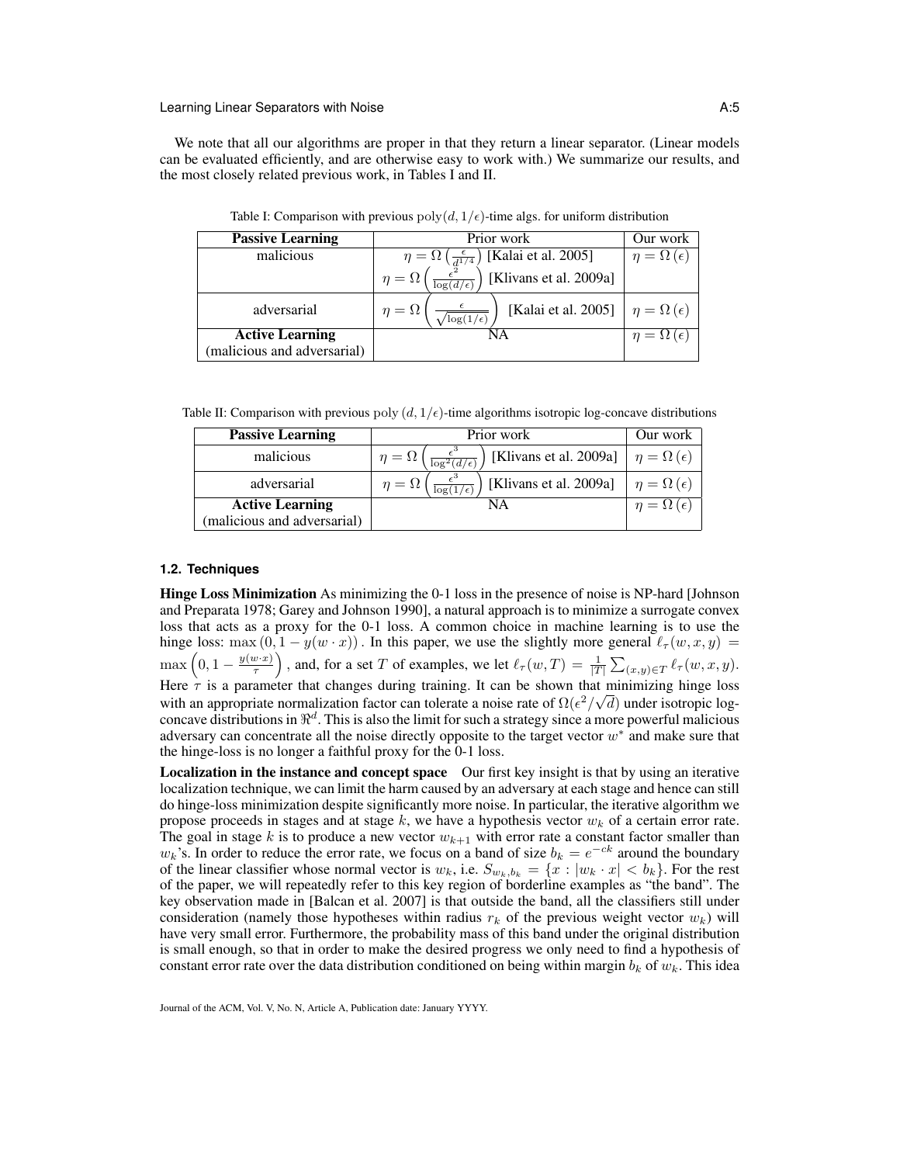We note that all our algorithms are proper in that they return a linear separator. (Linear models can be evaluated efficiently, and are otherwise easy to work with.) We summarize our results, and the most closely related previous work, in Tables I and II.

| <b>Passive Learning</b>    | Prior work                                                                     | Our work                  |
|----------------------------|--------------------------------------------------------------------------------|---------------------------|
| malicious                  | [Kalai et al. 2005]<br>$\eta = \Omega \left( \frac{\epsilon}{d^{1/4}} \right)$ | $\eta = \Omega(\epsilon)$ |
|                            | [Klivans et al. 2009a]<br>$\eta = \Omega$<br>$\log(d/\epsilon)$                |                           |
| adversarial                | [Kalai et al. 2005]<br>$= \Omega$<br>$\sqrt{\log(1/\epsilon)}$                 | $\eta = \Omega(\epsilon)$ |
| <b>Active Learning</b>     | NΑ                                                                             | $\eta = \Omega(\epsilon)$ |
| malicious and adversarial) |                                                                                |                           |

Table I: Comparison with previous  $poly(d, 1/\epsilon)$ -time algs. for uniform distribution

Table II: Comparison with previous poly  $(d, 1/\epsilon)$ -time algorithms isotropic log-concave distributions

| <b>Passive Learning</b>     | Prior work                                                        | Our work                  |
|-----------------------------|-------------------------------------------------------------------|---------------------------|
| malicious                   | [Klivans et al. 2009a]<br>$\eta = \Omega$<br>$\log^2(d/\epsilon)$ | $\eta = \Omega(\epsilon)$ |
| adversarial                 | [Klivans et al. 2009a]<br>$\eta = \Omega$<br>$\log(1/\epsilon)$   | $\eta = \Omega(\epsilon)$ |
| <b>Active Learning</b>      | NA                                                                | $\eta = \Omega(\epsilon)$ |
| (malicious and adversarial) |                                                                   |                           |

### **1.2. Techniques**

Hinge Loss Minimization As minimizing the 0-1 loss in the presence of noise is NP-hard [Johnson and Preparata 1978; Garey and Johnson 1990], a natural approach is to minimize a surrogate convex loss that acts as a proxy for the 0-1 loss. A common choice in machine learning is to use the hinge loss: max  $(0, 1 - y(w \cdot x))$ . In this paper, we use the slightly more general  $\ell_{\tau}(w, x, y)$  =  $\max\left(0,1-\frac{y(w \cdot x)}{\tau}\right)$  $\left(\frac{w \cdot x}{\tau}\right)$ , and, for a set T of examples, we let  $\ell_{\tau}(w,T) = \frac{1}{|T|} \sum_{(x,y) \in T} \ell_{\tau}(w,x,y)$ . Here  $\tau$  is a parameter that changes during training. It can be shown that minimizing hinge loss with an appropriate normalization factor can tolerate a noise rate of  $\Omega(\epsilon^2/\sqrt{d})$  under isotropic logconcave distributions in  $\mathbb{R}^d$ . This is also the limit for such a strategy since a more powerful malicious adversary can concentrate all the noise directly opposite to the target vector  $w^*$  and make sure that the hinge-loss is no longer a faithful proxy for the 0-1 loss.

**Localization in the instance and concept space** Our first key insight is that by using an iterative localization technique, we can limit the harm caused by an adversary at each stage and hence can still do hinge-loss minimization despite significantly more noise. In particular, the iterative algorithm we propose proceeds in stages and at stage k, we have a hypothesis vector  $w_k$  of a certain error rate. The goal in stage k is to produce a new vector  $w_{k+1}$  with error rate a constant factor smaller than  $w_k$ 's. In order to reduce the error rate, we focus on a band of size  $b_k = e^{-ck}$  around the boundary of the linear classifier whose normal vector is  $w_k$ , i.e.  $S_{w_k,b_k} = \{x : |w_k \cdot x| < b_k\}$ . For the rest of the paper, we will repeatedly refer to this key region of borderline examples as "the band". The key observation made in [Balcan et al. 2007] is that outside the band, all the classifiers still under consideration (namely those hypotheses within radius  $r_k$  of the previous weight vector  $w_k$ ) will have very small error. Furthermore, the probability mass of this band under the original distribution is small enough, so that in order to make the desired progress we only need to find a hypothesis of constant error rate over the data distribution conditioned on being within margin  $b_k$  of  $w_k$ . This idea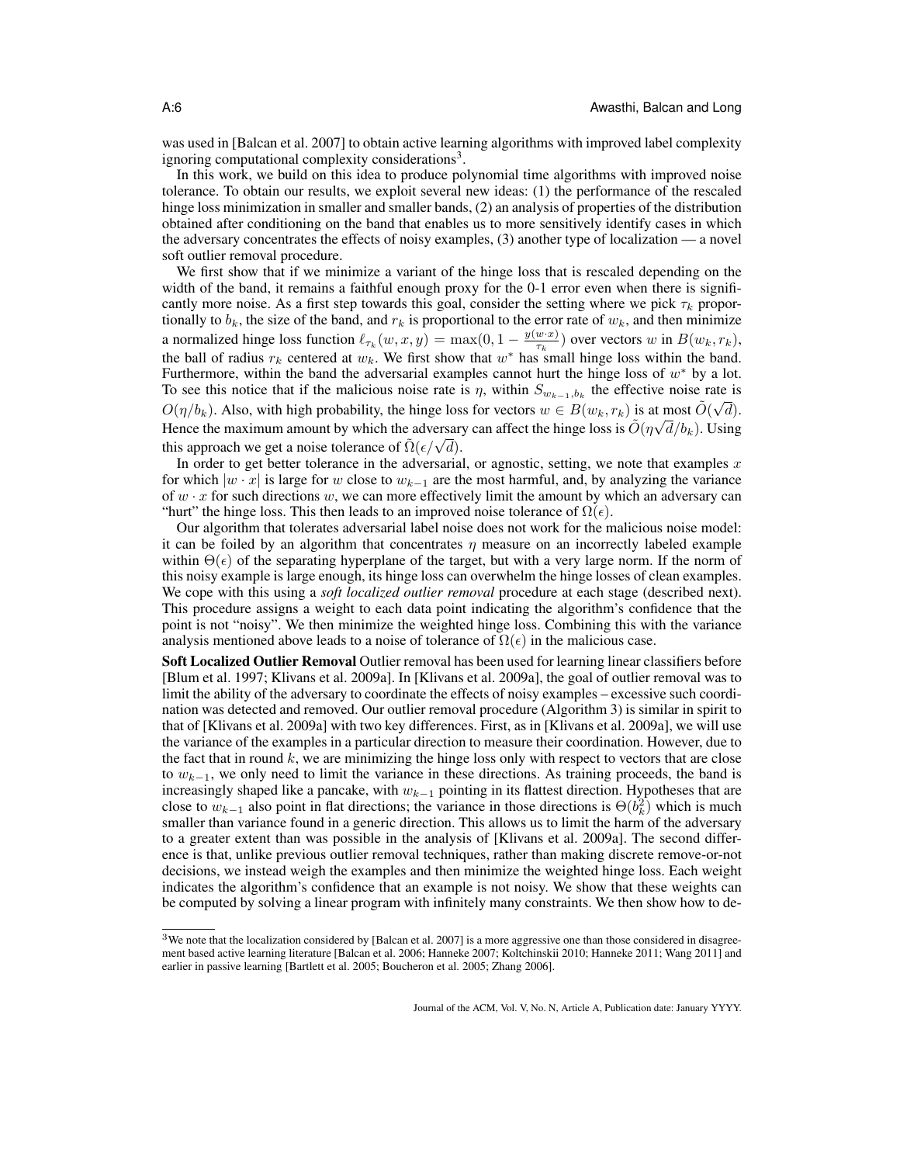was used in [Balcan et al. 2007] to obtain active learning algorithms with improved label complexity ignoring computational complexity considerations<sup>3</sup>.

In this work, we build on this idea to produce polynomial time algorithms with improved noise tolerance. To obtain our results, we exploit several new ideas: (1) the performance of the rescaled hinge loss minimization in smaller and smaller bands, (2) an analysis of properties of the distribution obtained after conditioning on the band that enables us to more sensitively identify cases in which the adversary concentrates the effects of noisy examples, (3) another type of localization — a novel soft outlier removal procedure.

We first show that if we minimize a variant of the hinge loss that is rescaled depending on the width of the band, it remains a faithful enough proxy for the 0-1 error even when there is significantly more noise. As a first step towards this goal, consider the setting where we pick  $\tau_k$  proportionally to  $b_k$ , the size of the band, and  $r_k$  is proportional to the error rate of  $w_k$ , and then minimize a normalized hinge loss function  $\ell_{\tau_k}(w, x, y) = \max(0, 1 - \frac{y(w \cdot x)}{\tau_k})$  $\frac{w \cdot x_j}{\tau_k}$ ) over vectors w in  $B(w_k, r_k)$ , the ball of radius  $r_k$  centered at  $w_k$ . We first show that  $w^*$  has small hinge loss within the band. Furthermore, within the band the adversarial examples cannot hurt the hinge loss of  $w^*$  by a lot. To see this notice that if the malicious noise rate is  $\eta$ , within  $S_{w_{k-1},b_k}$  the effective noise rate is  $O(\eta/b_k)$ . Also, with high probability, the hinge loss for vectors  $w \in B(w_k, r_k)$  is at most  $\tilde{O}(\sqrt{d})$ . Hence the maximum amount by which the adversary can affect the hinge loss is  $\tilde{O}(\eta\sqrt{d}/b_k)$ . Using Hence the maximum amount by which the adversar<br>this approach we get a noise tolerance of  $\tilde{\Omega}(\epsilon/\sqrt{d})$ .

In order to get better tolerance in the adversarial, or agnostic, setting, we note that examples  $x$ for which  $|w \cdot x|$  is large for w close to  $w_{k-1}$  are the most harmful, and, by analyzing the variance of  $w \cdot x$  for such directions w, we can more effectively limit the amount by which an adversary can "hurt" the hinge loss. This then leads to an improved noise tolerance of  $\Omega(\epsilon)$ .

Our algorithm that tolerates adversarial label noise does not work for the malicious noise model: it can be foiled by an algorithm that concentrates  $\eta$  measure on an incorrectly labeled example within  $\Theta(\epsilon)$  of the separating hyperplane of the target, but with a very large norm. If the norm of this noisy example is large enough, its hinge loss can overwhelm the hinge losses of clean examples. We cope with this using a *soft localized outlier removal* procedure at each stage (described next). This procedure assigns a weight to each data point indicating the algorithm's confidence that the point is not "noisy". We then minimize the weighted hinge loss. Combining this with the variance analysis mentioned above leads to a noise of tolerance of  $\Omega(\epsilon)$  in the malicious case.

Soft Localized Outlier Removal Outlier removal has been used for learning linear classifiers before [Blum et al. 1997; Klivans et al. 2009a]. In [Klivans et al. 2009a], the goal of outlier removal was to limit the ability of the adversary to coordinate the effects of noisy examples – excessive such coordination was detected and removed. Our outlier removal procedure (Algorithm 3) is similar in spirit to that of [Klivans et al. 2009a] with two key differences. First, as in [Klivans et al. 2009a], we will use the variance of the examples in a particular direction to measure their coordination. However, due to the fact that in round  $k$ , we are minimizing the hinge loss only with respect to vectors that are close to  $w_{k-1}$ , we only need to limit the variance in these directions. As training proceeds, the band is increasingly shaped like a pancake, with  $w_{k-1}$  pointing in its flattest direction. Hypotheses that are close to  $w_{k-1}$  also point in flat directions; the variance in those directions is  $\Theta(b_k^2)$  which is much smaller than variance found in a generic direction. This allows us to limit the harm of the adversary to a greater extent than was possible in the analysis of [Klivans et al. 2009a]. The second difference is that, unlike previous outlier removal techniques, rather than making discrete remove-or-not decisions, we instead weigh the examples and then minimize the weighted hinge loss. Each weight indicates the algorithm's confidence that an example is not noisy. We show that these weights can be computed by solving a linear program with infinitely many constraints. We then show how to de-

 $3$ We note that the localization considered by [Balcan et al. 2007] is a more aggressive one than those considered in disagreement based active learning literature [Balcan et al. 2006; Hanneke 2007; Koltchinskii 2010; Hanneke 2011; Wang 2011] and earlier in passive learning [Bartlett et al. 2005; Boucheron et al. 2005; Zhang 2006].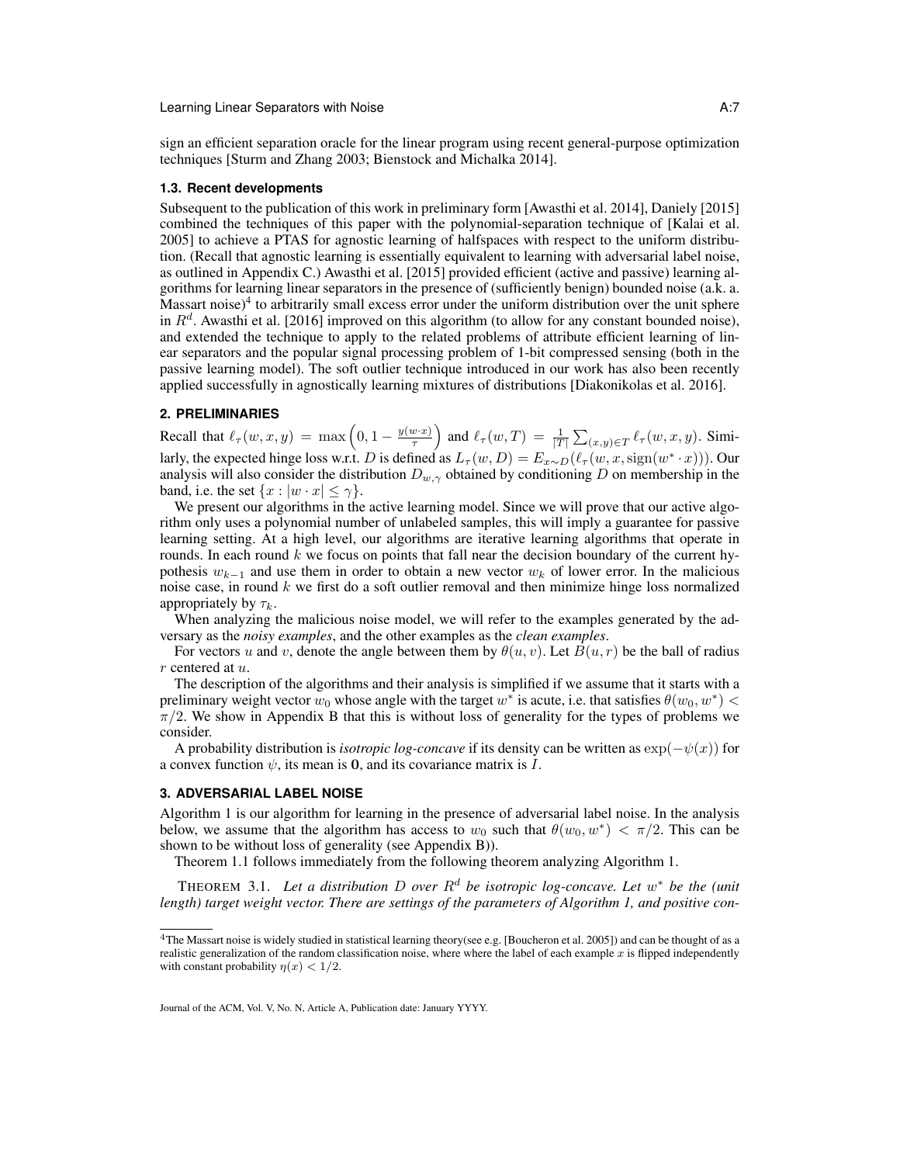sign an efficient separation oracle for the linear program using recent general-purpose optimization techniques [Sturm and Zhang 2003; Bienstock and Michalka 2014].

#### **1.3. Recent developments**

Subsequent to the publication of this work in preliminary form [Awasthi et al. 2014], Daniely [2015] combined the techniques of this paper with the polynomial-separation technique of [Kalai et al. 2005] to achieve a PTAS for agnostic learning of halfspaces with respect to the uniform distribution. (Recall that agnostic learning is essentially equivalent to learning with adversarial label noise, as outlined in Appendix C.) Awasthi et al. [2015] provided efficient (active and passive) learning algorithms for learning linear separators in the presence of (sufficiently benign) bounded noise (a.k. a.  $M$ assart noise)<sup>4</sup> to arbitrarily small excess error under the uniform distribution over the unit sphere in  $R<sup>d</sup>$ . Awasthi et al. [2016] improved on this algorithm (to allow for any constant bounded noise), and extended the technique to apply to the related problems of attribute efficient learning of linear separators and the popular signal processing problem of 1-bit compressed sensing (both in the passive learning model). The soft outlier technique introduced in our work has also been recently applied successfully in agnostically learning mixtures of distributions [Diakonikolas et al. 2016].

# **2. PRELIMINARIES**

Recall that  $\ell_{\tau}(w, x, y) = \max \left(0, 1 - \frac{y(w \cdot x)}{\tau}\right)$  $\left(\frac{w \cdot x}{\tau}\right)$  and  $\ell_{\tau}(w,T) = \frac{1}{|T|} \sum_{(x,y) \in T} \ell_{\tau}(w,x,y)$ . Similarly, the expected hinge loss w.r.t. D is defined as  $L_{\tau}(w, D) = E_{x \sim D}(\ell_{\tau}(w, x, sign(w^* \cdot x)))$ . Our analysis will also consider the distribution  $D_{w, \gamma}$  obtained by conditioning D on membership in the band, i.e. the set  $\{x : |w \cdot x| \leq \gamma\}.$ 

We present our algorithms in the active learning model. Since we will prove that our active algorithm only uses a polynomial number of unlabeled samples, this will imply a guarantee for passive learning setting. At a high level, our algorithms are iterative learning algorithms that operate in rounds. In each round  $k$  we focus on points that fall near the decision boundary of the current hypothesis  $w_{k-1}$  and use them in order to obtain a new vector  $w_k$  of lower error. In the malicious noise case, in round  $k$  we first do a soft outlier removal and then minimize hinge loss normalized appropriately by  $\tau_k$ .

When analyzing the malicious noise model, we will refer to the examples generated by the adversary as the *noisy examples*, and the other examples as the *clean examples*.

For vectors u and v, denote the angle between them by  $\theta(u, v)$ . Let  $B(u, r)$  be the ball of radius r centered at u.

The description of the algorithms and their analysis is simplified if we assume that it starts with a preliminary weight vector  $w_0$  whose angle with the target  $w^*$  is acute, i.e. that satisfies  $\theta(w_0, w^*)$  <  $\pi/2$ . We show in Appendix B that this is without loss of generality for the types of problems we consider.

A probability distribution is *isotropic log-concave* if its density can be written as  $\exp(-\psi(x))$  for a convex function  $\psi$ , its mean is 0, and its covariance matrix is I.

### **3. ADVERSARIAL LABEL NOISE**

Algorithm 1 is our algorithm for learning in the presence of adversarial label noise. In the analysis below, we assume that the algorithm has access to  $w_0$  such that  $\theta(w_0, w^*) < \pi/2$ . This can be shown to be without loss of generality (see Appendix B)).

Theorem 1.1 follows immediately from the following theorem analyzing Algorithm 1.

THEOREM 3.1. Let a distribution D over  $R^d$  be isotropic log-concave. Let  $w^*$  be the (unit *length) target weight vector. There are settings of the parameters of Algorithm 1, and positive con-*

<sup>&</sup>lt;sup>4</sup>The Massart noise is widely studied in statistical learning theory(see e.g. [Boucheron et al. 2005]) and can be thought of as a realistic generalization of the random classification noise, where where the label of each example  $x$  is flipped independently with constant probability  $n(x) < 1/2$ .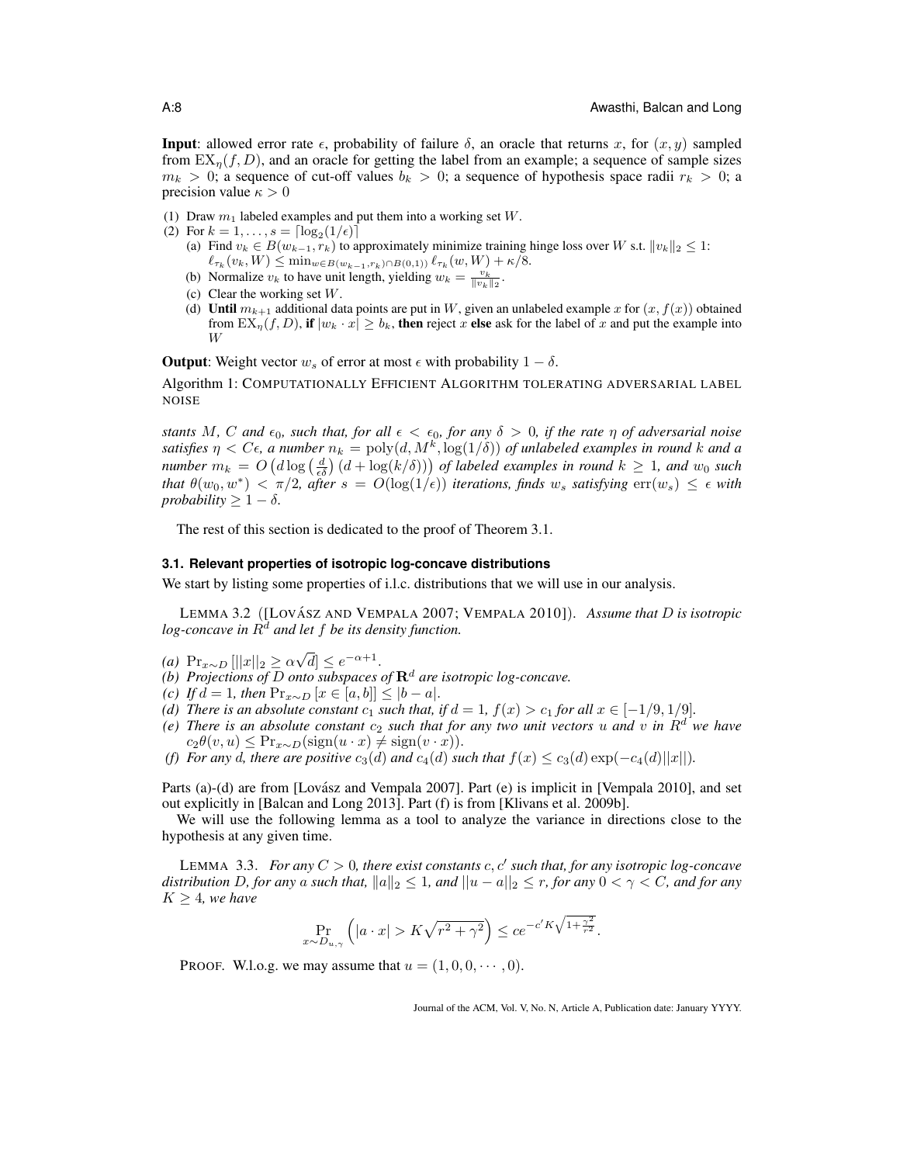**Input**: allowed error rate  $\epsilon$ , probability of failure  $\delta$ , an oracle that returns x, for  $(x, y)$  sampled from  $EX_n(f, D)$ , and an oracle for getting the label from an example; a sequence of sample sizes  $m_k > 0$ ; a sequence of cut-off values  $b_k > 0$ ; a sequence of hypothesis space radii  $r_k > 0$ ; a precision value  $\kappa > 0$ 

- (1) Draw  $m_1$  labeled examples and put them into a working set W.
- (2) For  $k = 1, ..., s = \lceil \log_2(1/\epsilon) \rceil$ 
	- (a) Find  $v_k \in B(w_{k-1}, r_k)$  to approximately minimize training hinge loss over W s.t.  $||v_k||_2 \leq 1$ :  $\ell_{\tau_k}(v_k, W) \leq \min_{w \in B(w_{k-1}, r_k) \cap B(0,1)} \ell_{\tau_k}(w, W) + \kappa/8.$
	- (b) Normalize  $v_k$  to have unit length, yielding  $w_k = \frac{v_k}{\|v_k\|_2}$ .
	- (c) Clear the working set  $W$ .
	- (d) Until  $m_{k+1}$  additional data points are put in W, given an unlabeled example x for  $(x, f(x))$  obtained from  $EX_{\eta}(f, D)$ , if  $|w_k \cdot x| \geq b_k$ , then reject x else ask for the label of x and put the example into W

**Output:** Weight vector  $w_s$  of error at most  $\epsilon$  with probability  $1 - \delta$ .

Algorithm 1: COMPUTATIONALLY EFFICIENT ALGORITHM TOLERATING ADVERSARIAL LABEL NOISE

*stants* M, C and  $\epsilon_0$ , such that, for all  $\epsilon < \epsilon_0$ , for any  $\delta > 0$ , if the rate  $\eta$  of adversarial noise satisfies  $\eta < C\epsilon$ , a number  $n_k = \text{poly}(d, M^k, \log(1/\delta))$  of unlabeled examples in round k and a *number*  $m_k = O\left(d \log\left(\frac{d}{\epsilon \delta}\right) (d + \log(k/\delta))\right)$  of labeled examples in round  $k \geq 1$ , and  $w_0$  such *that*  $\theta(w_0, w^*) < \pi/2$ , after  $s = O(\log(1/\epsilon))$  iterations, finds  $w_s$  satisfying  $\text{err}(w_s) \leq \epsilon$  with *probability*  $\geq 1 - \delta$ *.* 

The rest of this section is dedicated to the proof of Theorem 3.1.

#### **3.1. Relevant properties of isotropic log-concave distributions**

We start by listing some properties of *i.l.c.* distributions that we will use in our analysis.

LEMMA 3.2 ([LOVÁSZ AND VEMPALA 2007; VEMPALA 2010]). Assume that D is isotropic *log-concave in*  $R^d$  *and let*  $f$  *be its density function.* 

- *(a)* Pr<sub>x∼D</sub>  $\left|\frac{|x|_2}{\geq}$   $\alpha$ √  $\overline{d} \leq e^{-\alpha+1}.$
- *(b)* Projections of D onto subspaces of  $\mathbb{R}^d$  are isotropic log-concave.
- *(c) If*  $d = 1$ *, then*  $Pr_{x \sim D} [x \in [a, b]] \le |b a|$ *.*
- *(d) There is an absolute constant*  $c_1$  *such that, if*  $d = 1$ *,*  $f(x) > c_1$  *for all*  $x \in [-1/9, 1/9]$ *.*
- *(e) There is an absolute constant*  $c_2$  *such that for any two unit vectors* u *and* v *in*  $R^d$  *we have*  $c_2\theta(v, u) \leq \Pr_{x \sim D}(\text{sign}(u \cdot x) \neq \text{sign}(v \cdot x)).$
- *(f) For any d, there are positive*  $c_3(d)$  *and*  $c_4(d)$  *such that*  $f(x) \le c_3(d) \exp(-c_4(d)||x||)$ *.*

Parts (a)-(d) are from [Lovász and Vempala 2007]. Part (e) is implicit in [Vempala 2010], and set out explicitly in [Balcan and Long 2013]. Part (f) is from [Klivans et al. 2009b].

We will use the following lemma as a tool to analyze the variance in directions close to the hypothesis at any given time.

LEMMA 3.3. For any  $C > 0$ , there exist constants  $c, c'$  such that, for any isotropic log-concave *distribution* D, for any a such that,  $||a||_2 \leq 1$ , and  $||u - a||_2 \leq r$ , for any  $0 < \gamma < C$ , and for any  $K \geq 4$ *, we have* 

$$
\Pr_{x \sim D_{u,\gamma}}\left( |a \cdot x| > K\sqrt{r^2 + \gamma^2} \right) \le ce^{-c'K\sqrt{1 + \frac{\gamma^2}{r^2}}}.
$$

PROOF. W.l.o.g. we may assume that  $u = (1, 0, 0, \dots, 0)$ .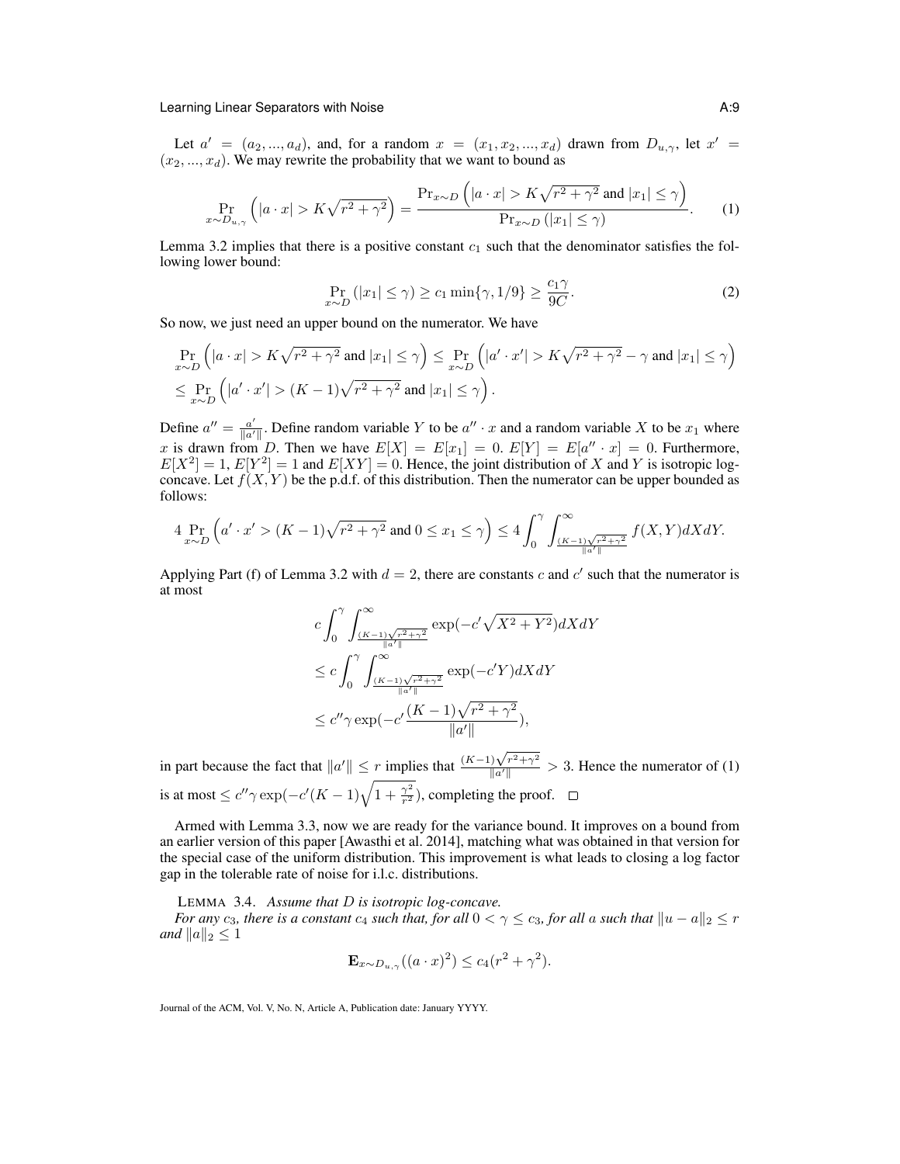Let  $a' = (a_2, ..., a_d)$ , and, for a random  $x = (x_1, x_2, ..., x_d)$  drawn from  $D_{u,y}$ , let  $x' =$  $(x_2, ..., x_d)$ . We may rewrite the probability that we want to bound as

$$
\Pr_{x \sim D_{u,\gamma}}\left(|a \cdot x| > K\sqrt{r^2 + \gamma^2}\right) = \frac{\Pr_{x \sim D}\left(|a \cdot x| > K\sqrt{r^2 + \gamma^2} \text{ and } |x_1| \le \gamma\right)}{\Pr_{x \sim D}\left(|x_1| \le \gamma\right)}.\tag{1}
$$

Lemma 3.2 implies that there is a positive constant  $c_1$  such that the denominator satisfies the following lower bound:

$$
\Pr_{x \sim D} (|x_1| \le \gamma) \ge c_1 \min\{\gamma, 1/9\} \ge \frac{c_1 \gamma}{9C}.
$$
\n<sup>(2)</sup>

So now, we just need an upper bound on the numerator. We have

$$
\Pr_{x \sim D} \left( |a \cdot x| > K\sqrt{r^2 + \gamma^2} \text{ and } |x_1| \le \gamma \right) \le \Pr_{x \sim D} \left( |a' \cdot x'| > K\sqrt{r^2 + \gamma^2} - \gamma \text{ and } |x_1| \le \gamma \right)
$$
  

$$
\le \Pr_{x \sim D} \left( |a' \cdot x'| > (K - 1)\sqrt{r^2 + \gamma^2} \text{ and } |x_1| \le \gamma \right).
$$

Define  $a'' = \frac{a'}{\ln a'}$  $\frac{a'}{\|a'\|}$ . Define random variable Y to be  $a'' \cdot x$  and a random variable X to be  $x_1$  where x is drawn from D. Then we have  $E[X] = E[x_1] = 0$ .  $E[Y] = E[a'' \cdot x] = 0$ . Furthermore,  $E[X^2] = 1$ ,  $E[Y^2] = 1$  and  $E[XY] = 0$ . Hence, the joint distribution of X and Y is isotropic logconcave. Let  $f(X, Y)$  be the p.d.f. of this distribution. Then the numerator can be upper bounded as follows:

$$
4\Pr_{x \sim D}\left(a' \cdot x' > (K-1)\sqrt{r^2 + \gamma^2} \text{ and } 0 \le x_1 \le \gamma\right) \le 4\int_0^{\gamma} \int_{\frac{(K-1)\sqrt{r^2 + \gamma^2}}{\|a'\|} }^{\infty} f(X, Y) dX dY.
$$

Applying Part (f) of Lemma 3.2 with  $d = 2$ , there are constants c and c' such that the numerator is at most

$$
c \int_0^{\gamma} \int_{\frac{(K-1)\sqrt{r^2+\gamma^2}}{\|a'\|}}^{\infty} \exp(-c'\sqrt{X^2+Y^2})dXdY
$$
  
\n
$$
\leq c \int_0^{\gamma} \int_{\frac{(K-1)\sqrt{r^2+\gamma^2}}{\|a'\|}}^{\infty} \exp(-c'Y)dXdY
$$
  
\n
$$
\leq c''\gamma \exp(-c'\frac{(K-1)\sqrt{r^2+\gamma^2}}{\|a'\|}),
$$

in part because the fact that  $||a'|| \leq r$  implies that  $\frac{(K-1)\sqrt{r^2+\gamma^2}}{||a'||} > 3$ . Hence the numerator of (1) is at most  $\leq c'' \gamma \exp(-c'(K-1)\sqrt{1+\frac{\gamma^2}{r^2}})$ , completing the proof.

Armed with Lemma 3.3, now we are ready for the variance bound. It improves on a bound from an earlier version of this paper [Awasthi et al. 2014], matching what was obtained in that version for the special case of the uniform distribution. This improvement is what leads to closing a log factor gap in the tolerable rate of noise for i.l.c. distributions.

LEMMA 3.4. *Assume that* D *is isotropic log-concave.*

*For any*  $c_3$ *, there is a constant*  $c_4$  *such that, for all*  $0 < \gamma \le c_3$ *, for all* a *such that*  $||u - a||_2 \le r$ *and*  $||a||_2 \leq 1$ 

$$
\mathbf{E}_{x \sim D_{u,\gamma}}((a \cdot x)^2) \le c_4(r^2 + \gamma^2).
$$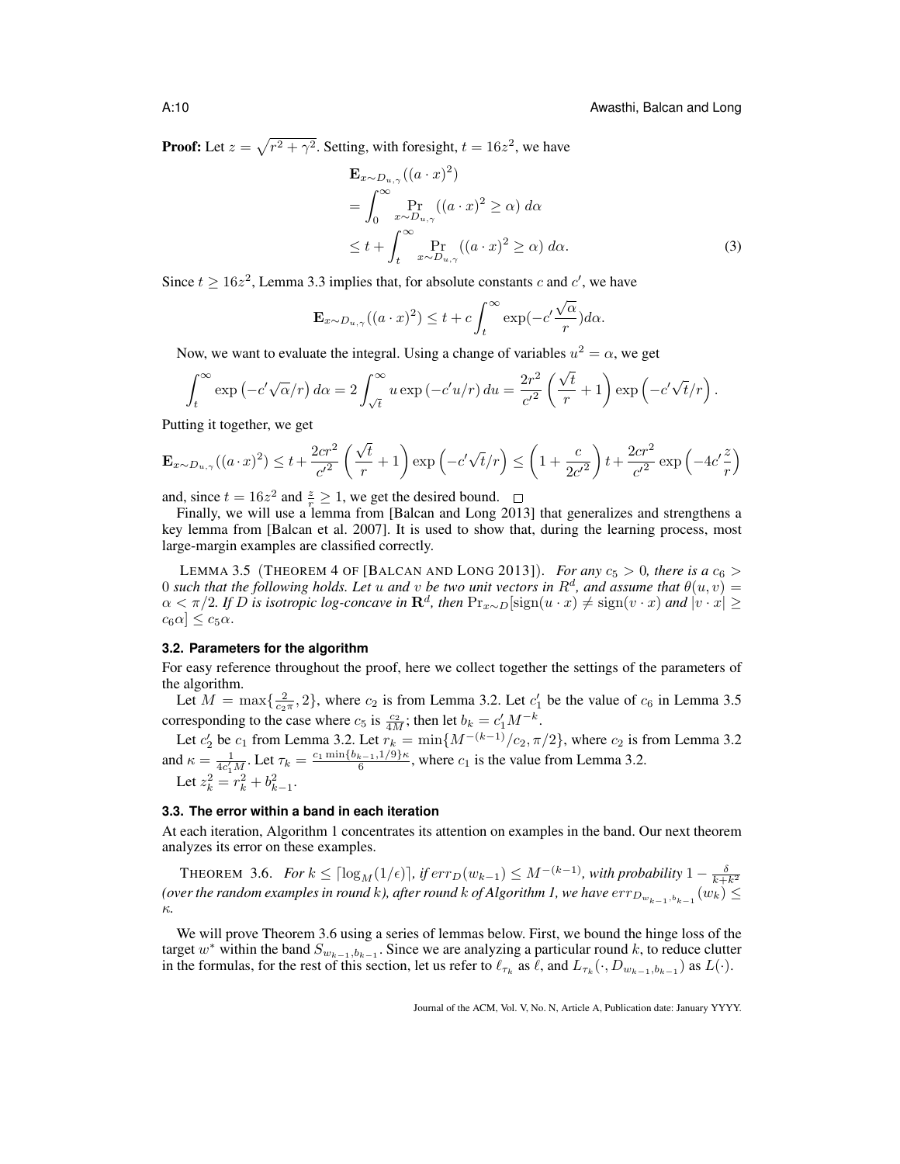**Proof:** Let  $z = \sqrt{r^2 + \gamma^2}$ . Setting, with foresight,  $t = 16z^2$ , we have

$$
\mathbf{E}_{x \sim D_{u,\gamma}}((a \cdot x)^2)
$$
\n
$$
= \int_0^\infty \Pr_{x \sim D_{u,\gamma}}((a \cdot x)^2 \ge \alpha) d\alpha
$$
\n
$$
\le t + \int_t^\infty \Pr_{x \sim D_{u,\gamma}}((a \cdot x)^2 \ge \alpha) d\alpha.
$$
\n(3)

Since  $t \ge 16z^2$ , Lemma 3.3 implies that, for absolute constants c and c', we have

$$
\mathbf{E}_{x \sim D_{u,\gamma}}((a \cdot x)^2) \le t + c \int_t^{\infty} \exp(-c' \frac{\sqrt{\alpha}}{r}) d\alpha.
$$

Now, we want to evaluate the integral. Using a change of variables  $u^2 = \alpha$ , we get

$$
\int_t^{\infty} \exp(-c'\sqrt{\alpha}/r) d\alpha = 2 \int_{\sqrt{t}}^{\infty} u \exp(-c'u/r) du = \frac{2r^2}{c'^2} \left(\frac{\sqrt{t}}{r} + 1\right) \exp\left(-c'\sqrt{t}/r\right).
$$

Putting it together, we get

$$
\mathbf{E}_{x \sim D_{u,\gamma}}((a \cdot x)^2) \le t + \frac{2cr^2}{c'^2} \left(\frac{\sqrt{t}}{r} + 1\right) \exp\left(-c'\sqrt{t}/r\right) \le \left(1 + \frac{c}{2c'^2}\right)t + \frac{2cr^2}{c'^2} \exp\left(-4c'\frac{z}{r}\right)
$$

and, since  $t = 16z^2$  and  $\frac{z}{r} \ge 1$ , we get the desired bound.

Finally, we will use a lemma from [Balcan and Long 2013] that generalizes and strengthens a key lemma from [Balcan et al. 2007]. It is used to show that, during the learning process, most large-margin examples are classified correctly.

LEMMA 3.5 (THEOREM 4 OF [BALCAN AND LONG 2013]). *For any*  $c_5 > 0$ *, there is a*  $c_6 >$ 0 such that the following holds. Let u and v be two unit vectors in  $R^d$ , and assume that  $\theta(u, v) =$  $\alpha < \pi/2$ . If D is isotropic log-concave in  $\mathbf{R}^d$ , then  $\Pr_{x \sim D}[\text{sign}(u \cdot x) \neq \text{sign}(v \cdot x)$  and  $|v \cdot x| \geq$  $c_6\alpha$ ]  $\leq c_5\alpha$ .

### **3.2. Parameters for the algorithm**

For easy reference throughout the proof, here we collect together the settings of the parameters of the algorithm.

Let  $M = \max\{\frac{2}{c_2\pi}, 2\}$ , where  $c_2$  is from Lemma 3.2. Let  $c'_1$  be the value of  $c_6$  in Lemma 3.5 corresponding to the case where  $c_5$  is  $\frac{c_2}{4M}$ ; then let  $b_k = c'_1 M^{-k}$ .

Let  $c'_2$  be  $c_1$  from Lemma 3.2. Let  $r_k = \min\{M^{-(k-1)}/c_2, \pi/2\}$ , where  $c_2$  is from Lemma 3.2 and  $\kappa = \frac{1}{4c_1'M}$ . Let  $\tau_k = \frac{c_1 \min\{b_{k-1}, 1/9\}\kappa}{6}$ , where  $c_1$  is the value from Lemma 3.2. Let  $z_k^2 = r_k^2 + b_{k-1}^2$ .

### **3.3. The error within a band in each iteration**

At each iteration, Algorithm 1 concentrates its attention on examples in the band. Our next theorem analyzes its error on these examples.

THEOREM 3.6. *For*  $k \leq \lceil \log_M(1/\epsilon) \rceil$ , if  $err_D(w_{k-1}) \leq M^{-(k-1)}$ , with probability  $1 - \frac{\delta}{k+k^2}$ (over the random examples in round  $k$ ), after round  $k$  of Algorithm 1, we have  $err_{D_{w_{k-1},b_{k-1}}}(w_k) \leq$ κ*.*

We will prove Theorem 3.6 using a series of lemmas below. First, we bound the hinge loss of the target w<sup>\*</sup> within the band  $S_{w_{k-1},b_{k-1}}$ . Since we are analyzing a particular round k, to reduce clutter in the formulas, for the rest of this section, let us refer to  $\ell_{\tau_k}$  as  $\ell$ , and  $L_{\tau_k}(\cdot, D_{w_{k-1},b_{k-1}})$  as  $L(\cdot)$ .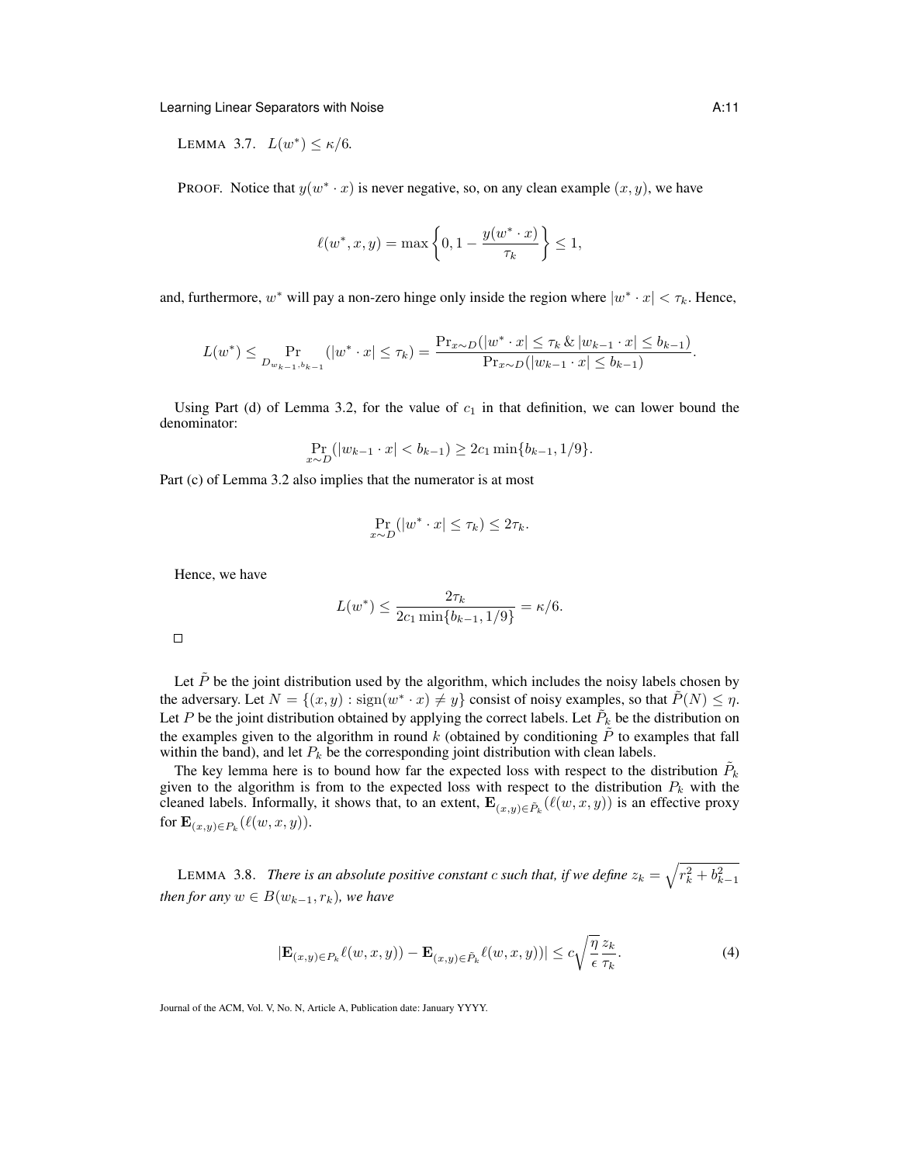LEMMA 3.7.  $L(w^*) \le \kappa/6$ .

PROOF. Notice that  $y(w^* \cdot x)$  is never negative, so, on any clean example  $(x, y)$ , we have

$$
\ell(w^*, x, y) = \max\left\{0, 1 - \frac{y(w^* \cdot x)}{\tau_k}\right\} \le 1,
$$

and, furthermore,  $w^*$  will pay a non-zero hinge only inside the region where  $|w^* \cdot x| < \tau_k$ . Hence,

$$
L(w^*) \leq \Pr_{D_{w_{k-1},b_{k-1}}} (|w^* \cdot x| \leq \tau_k) = \frac{\Pr_{x \sim D}(|w^* \cdot x| \leq \tau_k \& |w_{k-1} \cdot x| \leq b_{k-1})}{\Pr_{x \sim D}(|w_{k-1} \cdot x| \leq b_{k-1})}.
$$

Using Part (d) of Lemma 3.2, for the value of  $c_1$  in that definition, we can lower bound the denominator:

$$
\Pr_{x \sim D}(|w_{k-1} \cdot x| < b_{k-1}) \ge 2c_1 \min\{b_{k-1}, 1/9\}.
$$

Part (c) of Lemma 3.2 also implies that the numerator is at most

$$
\Pr_{x \sim D}(|w^* \cdot x| \le \tau_k) \le 2\tau_k.
$$

Hence, we have

$$
L(w^*) \le \frac{2\tau_k}{2c_1 \min\{b_{k-1}, 1/9\}} = \kappa/6.
$$

Let  $\tilde{P}$  be the joint distribution used by the algorithm, which includes the noisy labels chosen by the adversary. Let  $N = \{(x, y) : \text{sign}(w^* \cdot x) \neq y\}$  consist of noisy examples, so that  $\tilde{P}(N) \leq \eta$ . Let P be the joint distribution obtained by applying the correct labels. Let  $\tilde{P}_k$  be the distribution on the examples given to the algorithm in round k (obtained by conditioning  $\tilde{P}$  to examples that fall within the band), and let  $P_k$  be the corresponding joint distribution with clean labels.

The key lemma here is to bound how far the expected loss with respect to the distribution  $\tilde{P}_k$ given to the algorithm is from to the expected loss with respect to the distribution  $P_k$  with the cleaned labels. Informally, it shows that, to an extent,  $\mathbf{E}_{(x,y)\in \tilde{P}_k}(\ell(w, x, y))$  is an effective proxy for  $\mathbf{E}_{(x,y)\in P_k}(\ell(w,x,y)).$ 

LEMMA 3.8. *There is an absolute positive constant c such that, if we define*  $z_k = \sqrt{r_k^2 + b_{k-1}^2}$ *then for any*  $w \in B(w_{k-1}, r_k)$ *, we have* 

$$
|\mathbf{E}_{(x,y)\in P_k}\ell(w,x,y)) - \mathbf{E}_{(x,y)\in \tilde{P}_k}\ell(w,x,y))| \leq c\sqrt{\frac{\eta}{\epsilon}} \frac{z_k}{\tau_k}.\tag{4}
$$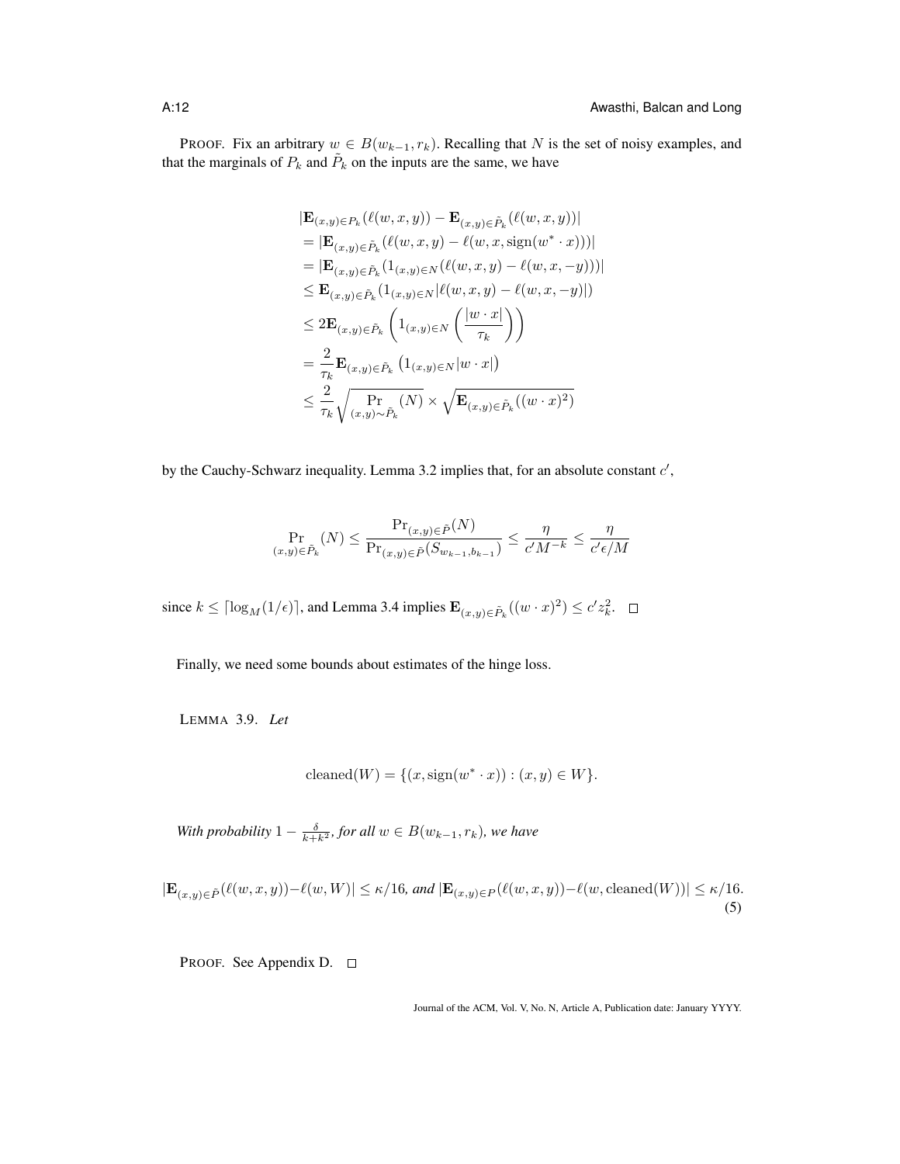PROOF. Fix an arbitrary  $w \in B(w_{k-1}, r_k)$ . Recalling that N is the set of noisy examples, and that the marginals of  $P_k$  and  $\tilde{P}_k$  on the inputs are the same, we have

$$
|\mathbf{E}_{(x,y)\in P_k}(\ell(w, x, y)) - \mathbf{E}_{(x,y)\in \tilde{P}_k}(\ell(w, x, y))|
$$
  
\n=  $|\mathbf{E}_{(x,y)\in \tilde{P}_k}(\ell(w, x, y) - \ell(w, x, \text{sign}(w^* \cdot x)))|$   
\n=  $|\mathbf{E}_{(x,y)\in \tilde{P}_k}(1_{(x,y)\in N}(\ell(w, x, y) - \ell(w, x, -y)))|$   
\n $\leq \mathbf{E}_{(x,y)\in \tilde{P}_k}(1_{(x,y)\in N}|\ell(w, x, y) - \ell(w, x, -y)|)$   
\n $\leq 2\mathbf{E}_{(x,y)\in \tilde{P}_k}\left(1_{(x,y)\in N}\left(\frac{|w \cdot x|}{\tau_k}\right)\right)$   
\n=  $\frac{2}{\tau_k} \mathbf{E}_{(x,y)\in \tilde{P}_k}(1_{(x,y)\in N}|\nu \cdot x|)$   
\n $\leq \frac{2}{\tau_k} \sqrt{\Pr_{(x,y)\sim \tilde{P}_k}(N)} \times \sqrt{\mathbf{E}_{(x,y)\in \tilde{P}_k}((w \cdot x)^2)}$ 

by the Cauchy-Schwarz inequality. Lemma 3.2 implies that, for an absolute constant  $c'$ ,

$$
\Pr_{(x,y)\in\tilde{P}_k}(N) \le \frac{\Pr_{(x,y)\in\tilde{P}}(N)}{\Pr_{(x,y)\in\tilde{P}}(S_{w_{k-1},b_{k-1}})} \le \frac{\eta}{c'M^{-k}} \le \frac{\eta}{c'\epsilon/M}
$$

since  $k \leq \lceil \log_M(1/\epsilon) \rceil$ , and Lemma 3.4 implies  $\mathbf{E}_{(x,y)\in \tilde{P}_k}((w \cdot x)^2) \leq c' z_k^2$ .

Finally, we need some bounds about estimates of the hinge loss.

LEMMA 3.9. *Let*

$$
cleaned(W) = \{(x, sign(w^* \cdot x)) : (x, y) \in W\}.
$$

With probability  $1 - \frac{\delta}{k+k^2}$ , for all  $w \in B(w_{k-1}, r_k)$ , we have

$$
|\mathbf{E}_{(x,y)\in\tilde{P}}(\ell(w,x,y)) - \ell(w,W)| \le \kappa/16, \text{ and } |\mathbf{E}_{(x,y)\in P}(\ell(w,x,y)) - \ell(w,\text{cleaned}(W))| \le \kappa/16.
$$
\n(5)

PROOF. See Appendix D. □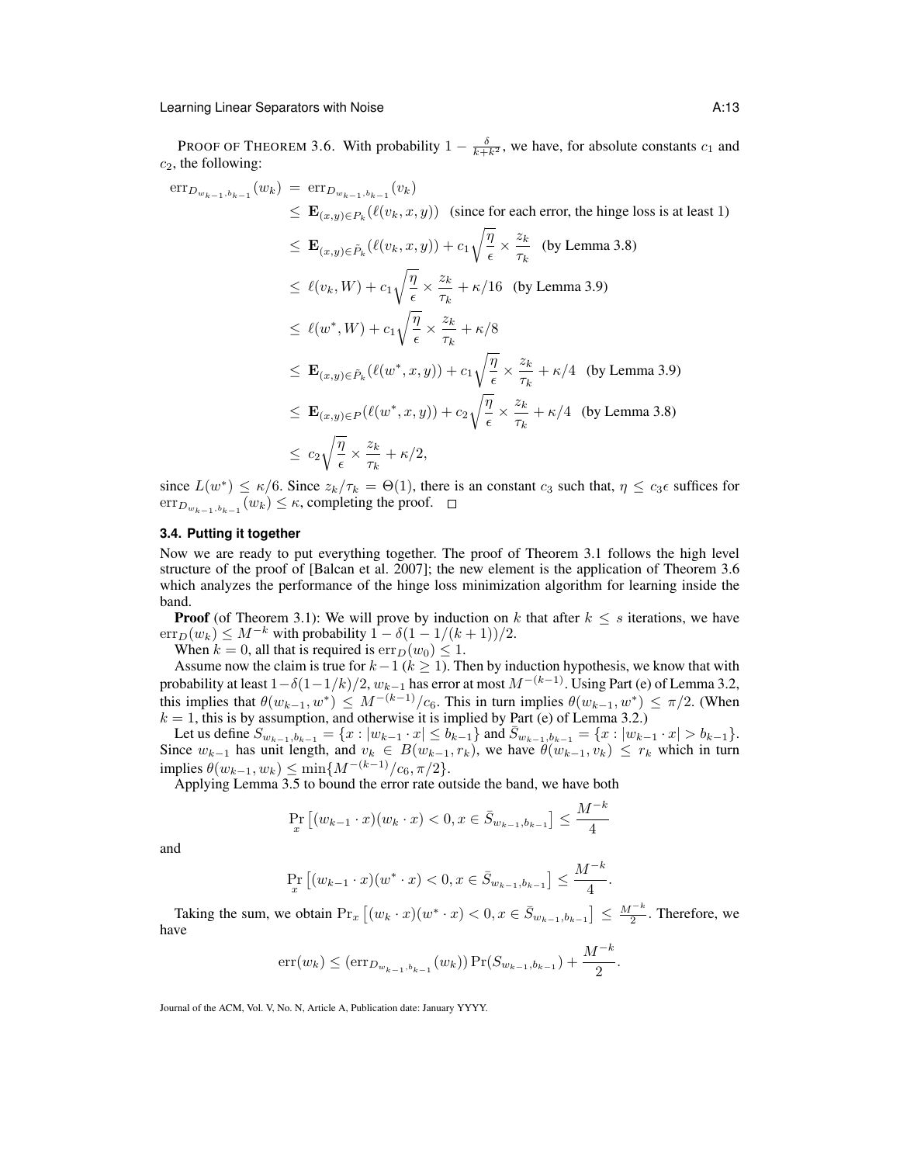PROOF OF THEOREM 3.6. With probability  $1 - \frac{\delta}{k+k^2}$ , we have, for absolute constants  $c_1$  and  $c_2$ , the following:

$$
\begin{split}\n\text{err}_{D_{w_{k-1},b_{k-1}}}(w_k) &= \text{err}_{D_{w_{k-1},b_{k-1}}}(v_k) \\
&\leq \mathbf{E}_{(x,y)\in P_k}(\ell(v_k,x,y)) \quad \text{(since for each error, the hinge loss is at least 1)} \\
&\leq \mathbf{E}_{(x,y)\in \tilde{P}_k}(\ell(v_k,x,y)) + c_1 \sqrt{\frac{\eta}{\epsilon}} \times \frac{z_k}{\tau_k} \quad \text{(by Lemma 3.8)} \\
&\leq \ell(v_k, W) + c_1 \sqrt{\frac{\eta}{\epsilon}} \times \frac{z_k}{\tau_k} + \kappa/16 \quad \text{(by Lemma 3.9)} \\
&\leq \ell(w^*, W) + c_1 \sqrt{\frac{\eta}{\epsilon}} \times \frac{z_k}{\tau_k} + \kappa/8 \\
&\leq \mathbf{E}_{(x,y)\in \tilde{P}_k}(\ell(w^*, x, y)) + c_1 \sqrt{\frac{\eta}{\epsilon}} \times \frac{z_k}{\tau_k} + \kappa/4 \quad \text{(by Lemma 3.9)} \\
&\leq \mathbf{E}_{(x,y)\in P}(\ell(w^*, x, y)) + c_2 \sqrt{\frac{\eta}{\epsilon}} \times \frac{z_k}{\tau_k} + \kappa/4 \quad \text{(by Lemma 3.8)} \\
&\leq c_2 \sqrt{\frac{\eta}{\epsilon}} \times \frac{z_k}{\tau_k} + \kappa/2,\n\end{split}
$$

since  $L(w^*) \le \kappa/6$ . Since  $z_k/\tau_k = \Theta(1)$ , there is an constant  $c_3$  such that,  $\eta \le c_3 \epsilon$  suffices for  $\mathrm{err}_{D_{w_{k-1},b_{k-1}}}(w_k) \leq \kappa$ , completing the proof.

# **3.4. Putting it together**

Now we are ready to put everything together. The proof of Theorem 3.1 follows the high level structure of the proof of [Balcan et al. 2007]; the new element is the application of Theorem 3.6 which analyzes the performance of the hinge loss minimization algorithm for learning inside the band.

**Proof** (of Theorem 3.1): We will prove by induction on k that after  $k \leq s$  iterations, we have  $\text{err}_D(w_k) \leq M^{-k}$  with probability  $1 - \delta(1 - 1/(k+1))/2$ .

When  $k = 0$ , all that is required is  $\text{err}_D(w_0) \leq 1$ .

Assume now the claim is true for  $k-1$  ( $k \ge 1$ ). Then by induction hypothesis, we know that with probability at least  $1-\delta(1-1/k)/2, w_{k-1}$  has error at most  $M^{-(k-1)}$ . Using Part (e) of Lemma 3.2, this implies that  $\theta(w_{k-1}, w^*) \leq M^{-(k-1)}/c_6$ . This in turn implies  $\theta(w_{k-1}, w^*) \leq \pi/2$ . (When  $k = 1$ , this is by assumption, and otherwise it is implied by Part (e) of Lemma 3.2.)

Let us define  $S_{w_{k-1},b_{k-1}} = \{x : |w_{k-1} \cdot x| \le b_{k-1}\}\$  and  $\bar{S}_{w_{k-1},b_{k-1}} = \{x : |w_{k-1} \cdot x| > b_{k-1}\}.$ Since  $w_{k-1}$  has unit length, and  $v_k \in B(w_{k-1}, r_k)$ , we have  $\theta(w_{k-1}, v_k) \leq r_k$  which in turn implies  $\theta(w_{k-1}, w_k) \le \min\{M^{-(k-1)}/c_6, \pi/2\}.$ 

Applying Lemma 3.5 to bound the error rate outside the band, we have both

$$
\Pr_x \left[ (w_{k-1} \cdot x)(w_k \cdot x) < 0, x \in \bar{S}_{w_{k-1}, b_{k-1}} \right] \le \frac{M^{-k}}{4}
$$

and

$$
\Pr_x \left[ (w_{k-1} \cdot x)(w^* \cdot x) < 0, x \in \bar{S}_{w_{k-1}, b_{k-1}} \right] \le \frac{M^{-k}}{4}
$$

.

Taking the sum, we obtain  $Pr_x [(w_k \cdot x)(w^* \cdot x) < 0, x \in \overline{S}_{w_{k-1}, b_{k-1}}] \leq \frac{M^{-k}}{2}$ . Therefore, we have

$$
\text{err}(w_k) \leq (\text{err}_{D_{w_{k-1},b_{k-1}}}(w_k)) \Pr(S_{w_{k-1},b_{k-1}}) + \frac{M^{-k}}{2}.
$$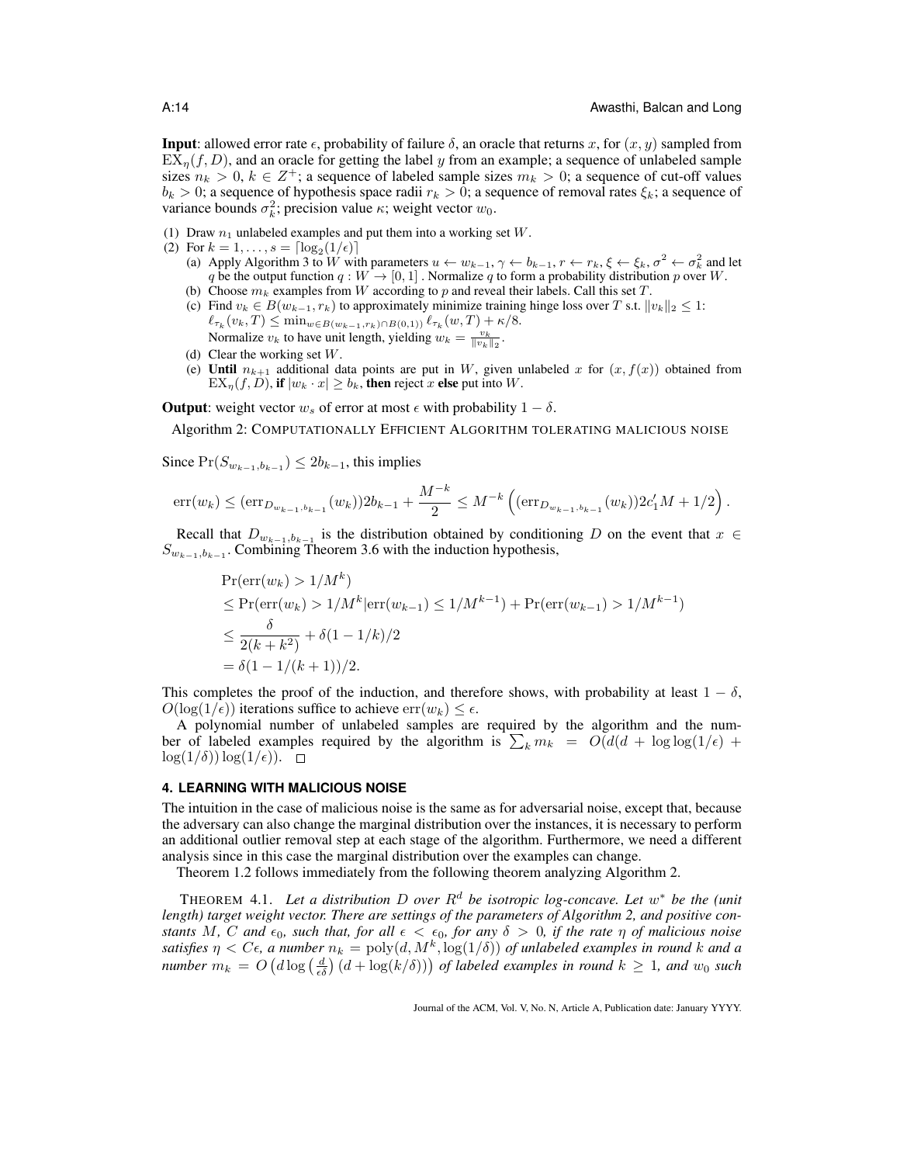**Input**: allowed error rate  $\epsilon$ , probability of failure  $\delta$ , an oracle that returns x, for  $(x, y)$  sampled from  $EX_{\eta}(f, D)$ , and an oracle for getting the label y from an example; a sequence of unlabeled sample sizes  $n_k > 0$ ,  $k \in \mathbb{Z}^+$ ; a sequence of labeled sample sizes  $m_k > 0$ ; a sequence of cut-off values  $b_k > 0$ ; a sequence of hypothesis space radii  $r_k > 0$ ; a sequence of removal rates  $\xi_k$ ; a sequence of variance bounds  $\sigma_k^2$ ; precision value  $\kappa$ ; weight vector  $w_0$ .

- (1) Draw  $n_1$  unlabeled examples and put them into a working set  $W$ .
- (2) For  $k = 1, ..., s = \lceil \log_2(1/\epsilon) \rceil$ 
	- (a) Apply Algorithm 3 to W with parameters  $u \leftarrow w_{k-1}, \gamma \leftarrow b_{k-1}, r \leftarrow r_k, \xi \leftarrow \xi_k, \sigma^2 \leftarrow \sigma_k^2$  and let q be the output function  $q : W \to [0, 1]$ . Normalize q to form a probability distribution p over W. (b) Choose  $m_k$  examples from W according to p and reveal their labels. Call this set T.
	- (c) Find  $v_k \in B(w_{k-1}, r_k)$  to approximately minimize training hinge loss over T s.t.  $||v_k||_2 \leq 1$ :  $\ell_{\tau_k}(v_k, T) \leq \min_{w \in B(w_{k-1}, r_k) \cap B(0,1)} \ell_{\tau_k}(w, T) + \kappa/8.$ Normalize  $v_k$  to have unit length, yielding  $w_k = \frac{v_k}{\|v_k\|_2}$ .
	- (d) Clear the working set  $W$ .
	- (e) Until  $n_{k+1}$  additional data points are put in W, given unlabeled x for  $(x, f(x))$  obtained from  $EX_n(f, D)$ , if  $|w_k \cdot x| \ge b_k$ , then reject x else put into W.

**Output**: weight vector  $w_s$  of error at most  $\epsilon$  with probability  $1 - \delta$ .

Algorithm 2: COMPUTATIONALLY EFFICIENT ALGORITHM TOLERATING MALICIOUS NOISE

Since  $Pr(S_{w_{k-1},b_{k-1}}) \leq 2b_{k-1}$ , this implies

$$
\mathrm{err}(w_k) \leq (\mathrm{err}_{D_{w_{k-1},b_{k-1}}}(w_k))2b_{k-1} + \frac{M^{-k}}{2} \leq M^{-k} \left( (\mathrm{err}_{D_{w_{k-1},b_{k-1}}}(w_k))2c'_1M + 1/2 \right).
$$

Recall that  $D_{w_{k-1},b_{k-1}}$  is the distribution obtained by conditioning D on the event that  $x \in$  $S_{w_{k-1},b_{k-1}}$ . Combining Theorem 3.6 with the induction hypothesis,

$$
\begin{aligned} &\Pr(\text{err}(w_k) > 1/M^k) \\ &\leq \Pr(\text{err}(w_k) > 1/M^k |\text{err}(w_{k-1}) \leq 1/M^{k-1}) + \Pr(\text{err}(w_{k-1}) > 1/M^{k-1}) \\ &\leq \frac{\delta}{2(k+k^2)} + \delta(1-1/k)/2 \\ &= \delta(1-1/(k+1))/2. \end{aligned}
$$

This completes the proof of the induction, and therefore shows, with probability at least  $1 - \delta$ ,  $O(\log(1/\epsilon))$  iterations suffice to achieve  $err(w_k) \leq \epsilon$ .

A polynomial number of unlabeled samples are required by the algorithm and the number of labeled examples required by the algorithm is  $\sum_{k} m_k = O(d(d + \log \log(1/\epsilon) +$  $\log(1/\delta)$ )  $\log(1/\epsilon)$ ).  $\Box$ 

### **4. LEARNING WITH MALICIOUS NOISE**

The intuition in the case of malicious noise is the same as for adversarial noise, except that, because the adversary can also change the marginal distribution over the instances, it is necessary to perform an additional outlier removal step at each stage of the algorithm. Furthermore, we need a different analysis since in this case the marginal distribution over the examples can change.

Theorem 1.2 follows immediately from the following theorem analyzing Algorithm 2.

THEOREM 4.1. Let a distribution D over  $R^d$  be isotropic log-concave. Let  $w^*$  be the (unit *length) target weight vector. There are settings of the parameters of Algorithm 2, and positive constants* M, C and  $\epsilon_0$ , such that, for all  $\epsilon < \epsilon_0$ , for any  $\delta > 0$ , if the rate  $\eta$  of malicious noise satisfies  $\eta < C\epsilon$ , a number  $n_k = \text{poly}(d, M^k, \log(1/\delta))$  of unlabeled examples in round k and a *number*  $m_k = O\left(d \log\left(\frac{d}{\epsilon \delta}\right) (d + \log(k/\delta))\right)$  of labeled examples in round  $k \geq 1$ , and  $w_0$  such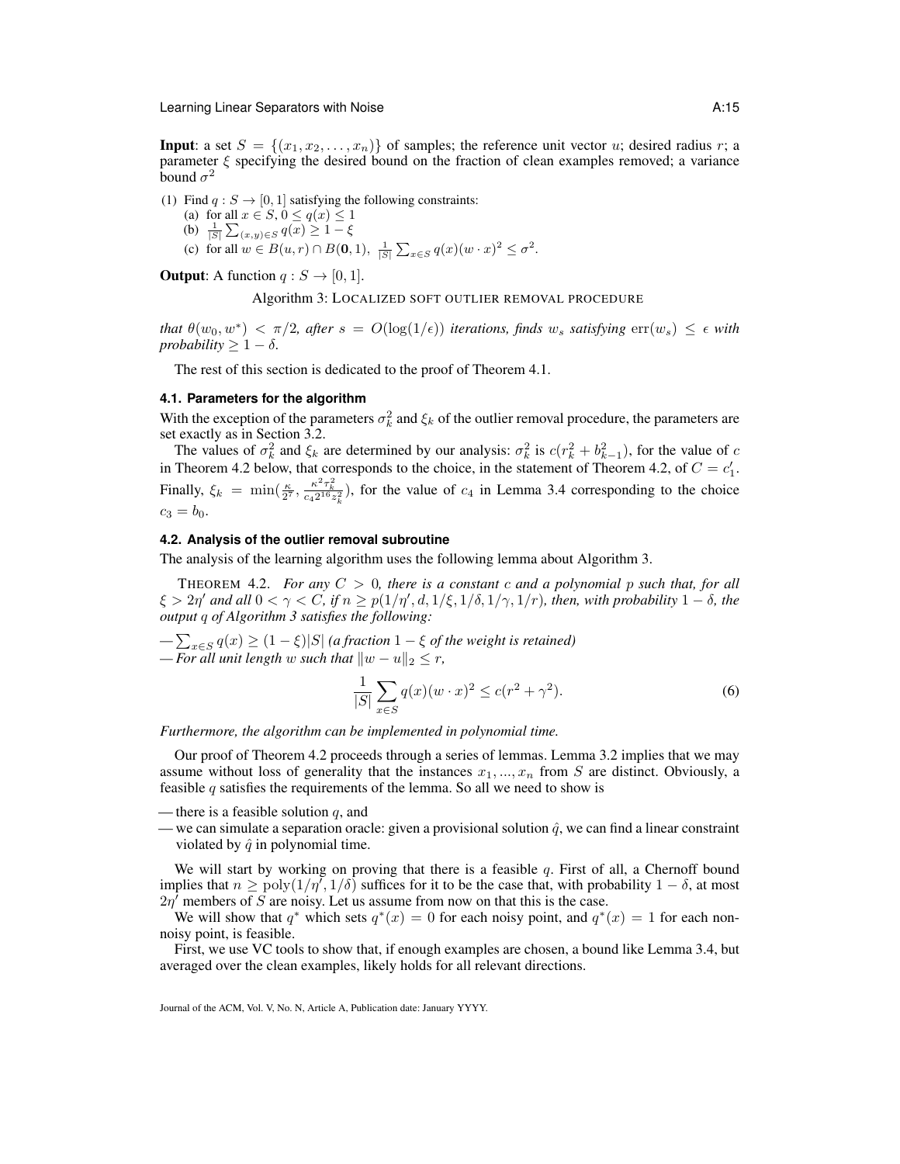**Input:** a set  $S = \{(x_1, x_2, \ldots, x_n)\}\)$  of samples; the reference unit vector u; desired radius r; a parameter  $\xi$  specifying the desired bound on the fraction of clean examples removed; a variance bound  $\sigma^2$ 

(1) Find  $q : S \to [0, 1]$  satisfying the following constraints: (a) for all  $x \in S$ ,  $0 \le q(x) \le 1$ (b)  $\frac{1}{|S|} \sum_{(x,y) \in S} q(x) \geq 1 - \xi$ (c) for all  $w \in B(u,r) \cap B(0,1)$ ,  $\frac{1}{|S|} \sum_{x \in S} q(x)(w \cdot x)^2 \le \sigma^2$ .

**Output:** A function  $q : S \rightarrow [0, 1]$ .

Algorithm 3: LOCALIZED SOFT OUTLIER REMOVAL PROCEDURE

*that*  $\theta(w_0, w^*) < \pi/2$ , after  $s = O(\log(1/\epsilon))$  iterations, finds  $w_s$  satisfying  $\text{err}(w_s) \leq \epsilon$  with *probability*  $> 1 - \delta$ *.* 

The rest of this section is dedicated to the proof of Theorem 4.1.

### **4.1. Parameters for the algorithm**

With the exception of the parameters  $\sigma_k^2$  and  $\xi_k$  of the outlier removal procedure, the parameters are set exactly as in Section 3.2.

The values of  $\sigma_k^2$  and  $\xi_k$  are determined by our analysis:  $\sigma_k^2$  is  $c(r_k^2 + b_{k-1}^2)$ , for the value of c in Theorem 4.2 below, that corresponds to the choice, in the statement of Theorem 4.2, of  $C = c_1'$ . Finally,  $\xi_k = \min(\frac{\kappa}{2^7}, \frac{\kappa^2 \tau_k^2}{c_4 2^{16} z_k^2})$ , for the value of  $c_4$  in Lemma 3.4 corresponding to the choice  $c_3 = b_0.$ 

## **4.2. Analysis of the outlier removal subroutine**

The analysis of the learning algorithm uses the following lemma about Algorithm 3.

THEOREM 4.2. *For any* C > 0*, there is a constant* c *and a polynomial* p *such that, for all*  $\xi > 2\eta'$  and all  $0 < \gamma < C$ , if  $n \ge p(1/\eta', d, 1/\xi, 1/\delta, 1/\gamma, 1/r)$ , then, with probability  $1 - \delta$ , the *output* q *of Algorithm 3 satisfies the following:*

 $-\sum_{x\in S} q(x) \geq (1-\xi)|S|$  *(a fraction*  $1-\xi$  *of the weight is retained)*  $-$  *For all unit length* w *such that*  $||w - u||_2 \leq r$ ,

$$
\frac{1}{|S|} \sum_{x \in S} q(x)(w \cdot x)^2 \le c(r^2 + \gamma^2). \tag{6}
$$

*Furthermore, the algorithm can be implemented in polynomial time.*

Our proof of Theorem 4.2 proceeds through a series of lemmas. Lemma 3.2 implies that we may assume without loss of generality that the instances  $x_1, ..., x_n$  from S are distinct. Obviously, a feasible  $q$  satisfies the requirements of the lemma. So all we need to show is

— there is a feasible solution  $q$ , and

— we can simulate a separation oracle: given a provisional solution  $\hat{q}$ , we can find a linear constraint violated by  $\hat{q}$  in polynomial time.

We will start by working on proving that there is a feasible  $q$ . First of all, a Chernoff bound implies that  $n \geq poly(1/\eta^7, 1/\delta)$  suffices for it to be the case that, with probability  $1 - \delta$ , at most  $2\eta^7$  members of S are noisy. Let us assume from now on that this is the case.

We will show that  $q^*$  which sets  $q^*(x) = 0$  for each noisy point, and  $q^*(x) = 1$  for each nonnoisy point, is feasible.

First, we use VC tools to show that, if enough examples are chosen, a bound like Lemma 3.4, but averaged over the clean examples, likely holds for all relevant directions.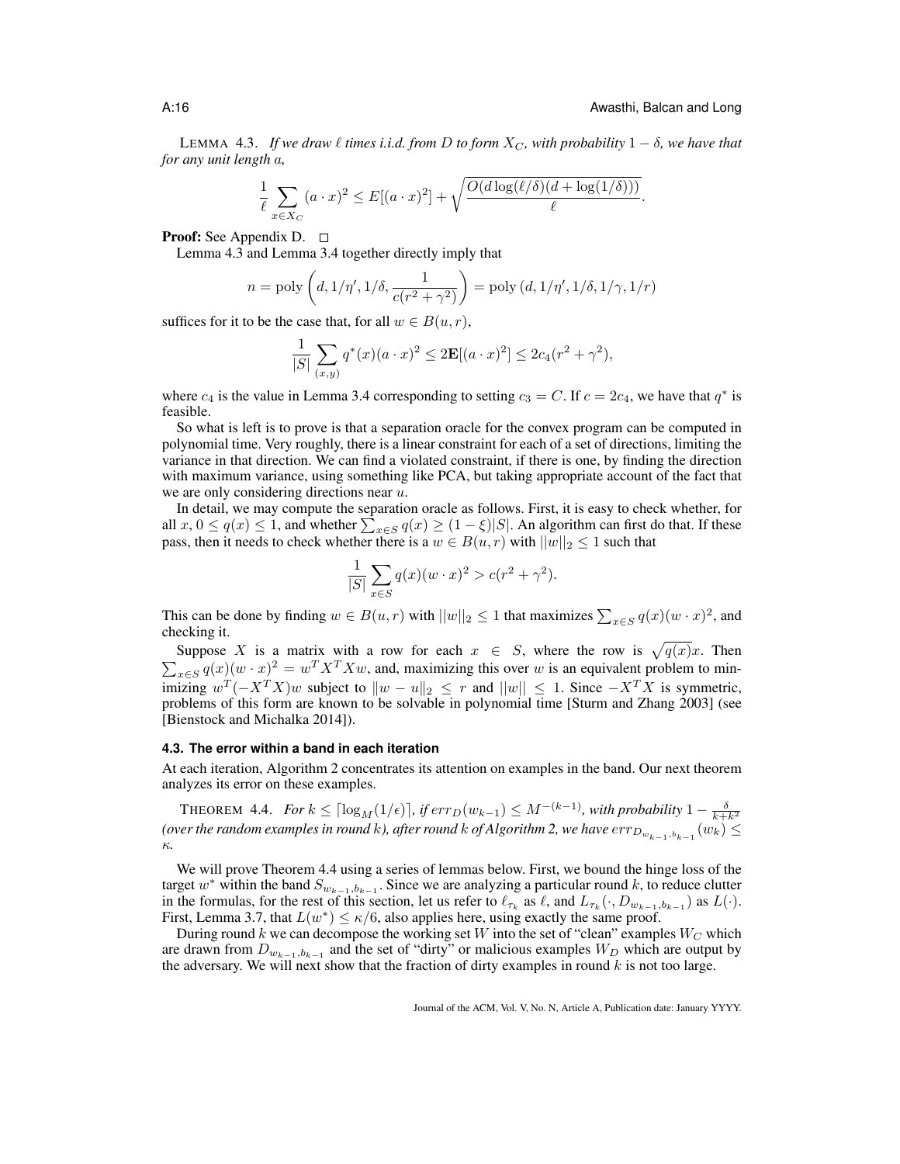LEMMA 4.3. *If we draw*  $\ell$  *times i.i.d. from* D *to form*  $X_C$ *, with probability*  $1 - \delta$ *, we have that for any unit length* a*,*

$$
\frac{1}{\ell} \sum_{x \in X_C} (a \cdot x)^2 \le E[(a \cdot x)^2] + \sqrt{\frac{O(d \log(\ell/\delta)(d + \log(1/\delta)))}{\ell}}.
$$

**Proof:** See Appendix D.  $\Box$ 

Lemma 4.3 and Lemma 3.4 together directly imply that

$$
n = \text{poly}\left(d, 1/\eta', 1/\delta, \frac{1}{c(r^2 + \gamma^2)}\right) = \text{poly}\left(d, 1/\eta', 1/\delta, 1/\gamma, 1/r\right)
$$

suffices for it to be the case that, for all  $w \in B(u, r)$ ,

$$
\frac{1}{|S|} \sum_{(x,y)} q^*(x) (a \cdot x)^2 \le 2\mathbf{E}[(a \cdot x)^2] \le 2c_4(r^2 + \gamma^2),
$$

where  $c_4$  is the value in Lemma 3.4 corresponding to setting  $c_3 = C$ . If  $c = 2c_4$ , we have that  $q^*$  is feasible.

So what is left is to prove is that a separation oracle for the convex program can be computed in polynomial time. Very roughly, there is a linear constraint for each of a set of directions, limiting the variance in that direction. We can find a violated constraint, if there is one, by finding the direction with maximum variance, using something like PCA, but taking appropriate account of the fact that we are only considering directions near  $u$ .

In detail, we may compute the separation oracle as follows. First, it is easy to check whether, for all  $x, 0 \le q(x) \le 1$ , and whether  $\sum_{x \in S} q(x) \ge (1 - \xi)|S|$ . An algorithm can first do that. If these pass, then it needs to check whether there is a  $w \in B(u, r)$  with  $||w||_2 \le 1$  such that

$$
\frac{1}{|S|} \sum_{x \in S} q(x) (w \cdot x)^2 > c(r^2 + \gamma^2).
$$

This can be done by finding  $w \in B(u, r)$  with  $||w||_2 \le 1$  that maximizes  $\sum_{x \in S} q(x)(w \cdot x)^2$ , and checking it.

Suppose X is a matrix with a row for each  $x \in S$ , where the row is  $\sqrt{q(x)}x$ . Then  $\sum_{x \in S} q(x)(w \cdot x)^2 = w^T X^T X w$ , and, maximizing this over w is an equivalent problem to minimizing  $w^T(-X^TX)w$  subject to  $\|w - u\|_2 \leq r$  and  $\|w\| \leq 1$ . Since  $-X^TX$  is symmetric, problems of this form are known to be solvable in polynomial time [Sturm and Zhang 2003] (see [Bienstock and Michalka 2014]).

#### **4.3. The error within a band in each iteration**

At each iteration, Algorithm 2 concentrates its attention on examples in the band. Our next theorem analyzes its error on these examples.

THEOREM 4.4. *For*  $k \leq \lceil \log_M(1/\epsilon) \rceil$ , if  $err_D(w_{k-1}) \leq M^{-(k-1)}$ , with probability  $1 - \frac{\delta}{k+k^2}$ (over the random examples in round  $k$ ), after round  $k$  of Algorithm 2, we have  $err_{D_{w_{k-1},b_{k-1}}}(w_k) \leq$ κ*.*

We will prove Theorem 4.4 using a series of lemmas below. First, we bound the hinge loss of the target w<sup>\*</sup> within the band  $S_{w_{k-1},b_{k-1}}$ . Since we are analyzing a particular round k, to reduce clutter in the formulas, for the rest of this section, let us refer to  $\ell_{\tau_k}$  as  $\ell$ , and  $L_{\tau_k}(\cdot, D_{w_{k-1},b_{k-1}})$  as  $L(\cdot)$ . First, Lemma 3.7, that  $L(w^*) \le \kappa/6$ , also applies here, using exactly the same proof.

During round k we can decompose the working set W into the set of "clean" examples  $W_C$  which are drawn from  $D_{w_{k-1},b_{k-1}}$  and the set of "dirty" or malicious examples  $W_D$  which are output by the adversary. We will next show that the fraction of dirty examples in round  $k$  is not too large.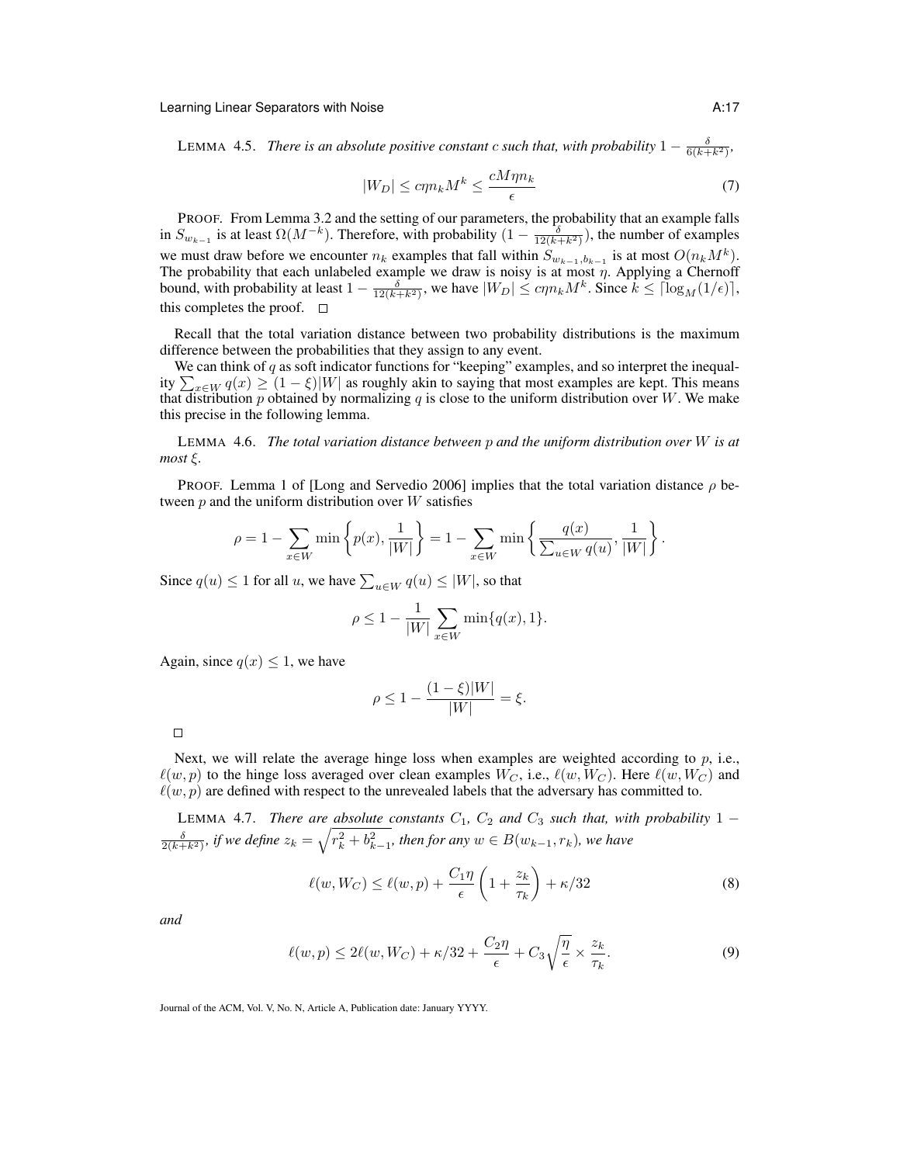LEMMA 4.5. *There is an absolute positive constant c such that, with probability*  $1 - \frac{\delta}{6(k+k^2)}$ ,

$$
|W_D| \le c\eta n_k M^k \le \frac{cM\eta n_k}{\epsilon} \tag{7}
$$

PROOF. From Lemma 3.2 and the setting of our parameters, the probability that an example falls in  $S_{w_{k-1}}$  is at least  $\Omega(M^{-k})$ . Therefore, with probability  $(1 - \frac{\delta}{12(k+k^2)})$ , the number of examples we must draw before we encounter  $n_k$  examples that fall within  $S_{w_{k-1},b_{k-1}}$  is at most  $O(n_k M^k)$ . The probability that each unlabeled example we draw is noisy is at most  $\eta$ . Applying a Chernoff bound, with probability at least  $1 - \frac{\delta}{12(k+k^2)}$ , we have  $|W_D| \le c\eta n_k M^k$ . Since  $k \le \lceil \log_M(1/\epsilon) \rceil$ , this completes the proof.  $\square$ 

Recall that the total variation distance between two probability distributions is the maximum difference between the probabilities that they assign to any event.

We can think of  $q$  as soft indicator functions for "keeping" examples, and so interpret the inequality  $\sum_{x \in W} q(x) \ge (1 - \xi)|W|$  as roughly akin to saying that most examples are kept. This means that distribution p obtained by normalizing q is close to the uniform distribution over  $W$ . We make this precise in the following lemma.

LEMMA 4.6. *The total variation distance between* p *and the uniform distribution over* W *is at most* ξ*.*

PROOF. Lemma 1 of [Long and Servedio 2006] implies that the total variation distance  $\rho$  between  $p$  and the uniform distribution over  $W$  satisfies

$$
\rho = 1 - \sum_{x \in W} \min \left\{ p(x), \frac{1}{|W|} \right\} = 1 - \sum_{x \in W} \min \left\{ \frac{q(x)}{\sum_{u \in W} q(u)}, \frac{1}{|W|} \right\}.
$$

Since  $q(u) \leq 1$  for all u, we have  $\sum_{u \in W} q(u) \leq |W|$ , so that

$$
\rho \le 1 - \frac{1}{|W|} \sum_{x \in W} \min\{q(x), 1\}.
$$

Again, since  $q(x) \leq 1$ , we have

$$
\rho \le 1 - \frac{(1 - \xi)|W|}{|W|} = \xi.
$$

Next, we will relate the average hinge loss when examples are weighted according to  $p$ , i.e.,  $\ell(w, p)$  to the hinge loss averaged over clean examples  $W_C$ , i.e.,  $\ell(w, W_C)$ . Here  $\ell(w, W_C)$  and  $\ell(w, p)$  are defined with respect to the unrevealed labels that the adversary has committed to.

LEMMA 4.7. *There are absolute constants*  $C_1$ ,  $C_2$  *and*  $C_3$  *such that, with probability* 1 −  $\frac{\delta}{2(k+k^2)}$ , if we define  $z_k = \sqrt{r_k^2 + b_{k-1}^2}$ , then for any  $w \in B(w_{k-1}, r_k)$ , we have

$$
\ell(w, W_C) \le \ell(w, p) + \frac{C_1 \eta}{\epsilon} \left( 1 + \frac{z_k}{\tau_k} \right) + \kappa / 32 \tag{8}
$$

*and*

$$
\ell(w, p) \le 2\ell(w, W_C) + \kappa/32 + \frac{C_2\eta}{\epsilon} + C_3\sqrt{\frac{\eta}{\epsilon}} \times \frac{z_k}{\tau_k}.\tag{9}
$$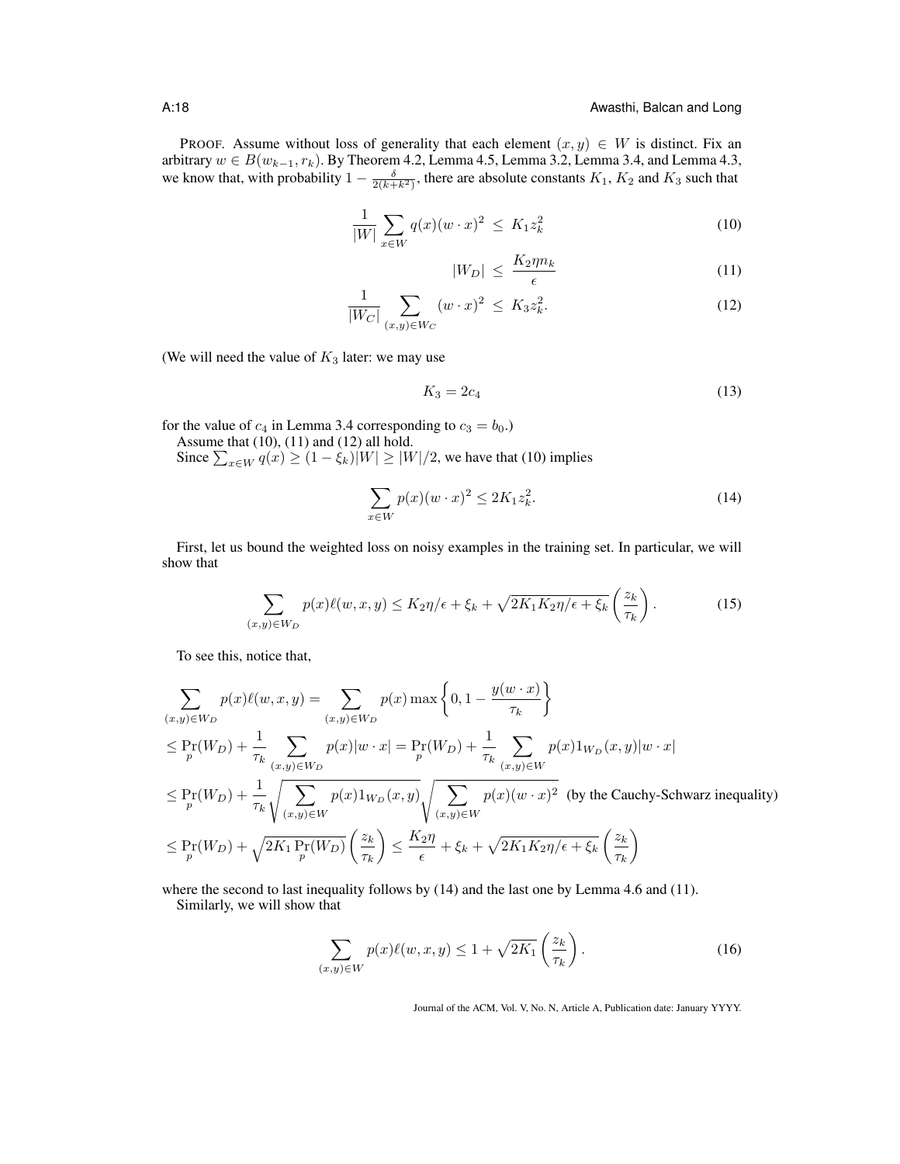PROOF. Assume without loss of generality that each element  $(x, y) \in W$  is distinct. Fix an arbitrary  $w \in B(w_{k-1}, r_k)$ . By Theorem 4.2, Lemma 4.5, Lemma 3.2, Lemma 3.4, and Lemma 4.3, we know that, with probability  $1 - \frac{\delta}{2(k+k^2)}$ , there are absolute constants  $K_1$ ,  $K_2$  and  $K_3$  such that

$$
\frac{1}{|W|} \sum_{x \in W} q(x)(w \cdot x)^2 \le K_1 z_k^2 \tag{10}
$$

$$
|W_D| \le \frac{K_2 \eta n_k}{\epsilon} \tag{11}
$$

$$
\frac{1}{|W_C|} \sum_{(x,y)\in W_C} (w \cdot x)^2 \le K_3 z_k^2. \tag{12}
$$

(We will need the value of  $K_3$  later: we may use

$$
K_3 = 2c_4 \tag{13}
$$

for the value of  $c_4$  in Lemma 3.4 corresponding to  $c_3 = b_0$ .)

Assume that (10), (11) and (12) all hold.

Since  $\sum_{x \in W} q(x) \ge (1 - \xi_k)|W| \ge |W|/2$ , we have that (10) implies

$$
\sum_{x \in W} p(x)(w \cdot x)^2 \le 2K_1 z_k^2.
$$
 (14)

First, let us bound the weighted loss on noisy examples in the training set. In particular, we will show that

$$
\sum_{(x,y)\in W_D} p(x)\ell(w,x,y) \le K_2\eta/\epsilon + \xi_k + \sqrt{2K_1K_2\eta/\epsilon + \xi_k} \left(\frac{z_k}{\tau_k}\right). \tag{15}
$$

To see this, notice that,

$$
\sum_{(x,y)\in W_D} p(x)\ell(w,x,y) = \sum_{(x,y)\in W_D} p(x) \max\left\{0, 1 - \frac{y(w \cdot x)}{\tau_k}\right\}
$$
\n
$$
\leq \Pr(W_D) + \frac{1}{\tau_k} \sum_{(x,y)\in W_D} p(x)|w \cdot x| = \Pr(W_D) + \frac{1}{\tau_k} \sum_{(x,y)\in W} p(x)1_{W_D}(x,y)|w \cdot x|
$$
\n
$$
\leq \Pr(W_D) + \frac{1}{\tau_k} \sqrt{\sum_{(x,y)\in W} p(x)1_{W_D}(x,y)} \sqrt{\sum_{(x,y)\in W} p(x)(w \cdot x)^2} \text{ (by the Cauchy-Schwarz inequality)}
$$
\n
$$
\leq \Pr(W_D) + \sqrt{2K_1 \Pr(W_D)} \left(\frac{z_k}{\tau_k}\right) \leq \frac{K_2 \eta}{\epsilon} + \xi_k + \sqrt{2K_1 K_2 \eta/\epsilon + \xi_k} \left(\frac{z_k}{\tau_k}\right)
$$

where the second to last inequality follows by (14) and the last one by Lemma 4.6 and (11). Similarly, we will show that

> $\sum$  $(x,y)$ ∈W  $p(x)\ell(w, x, y) \leq 1 + \sqrt{2K_1} \left(\frac{z_k}{\epsilon}\right)$  $\tau_k$  $\setminus$ . (16)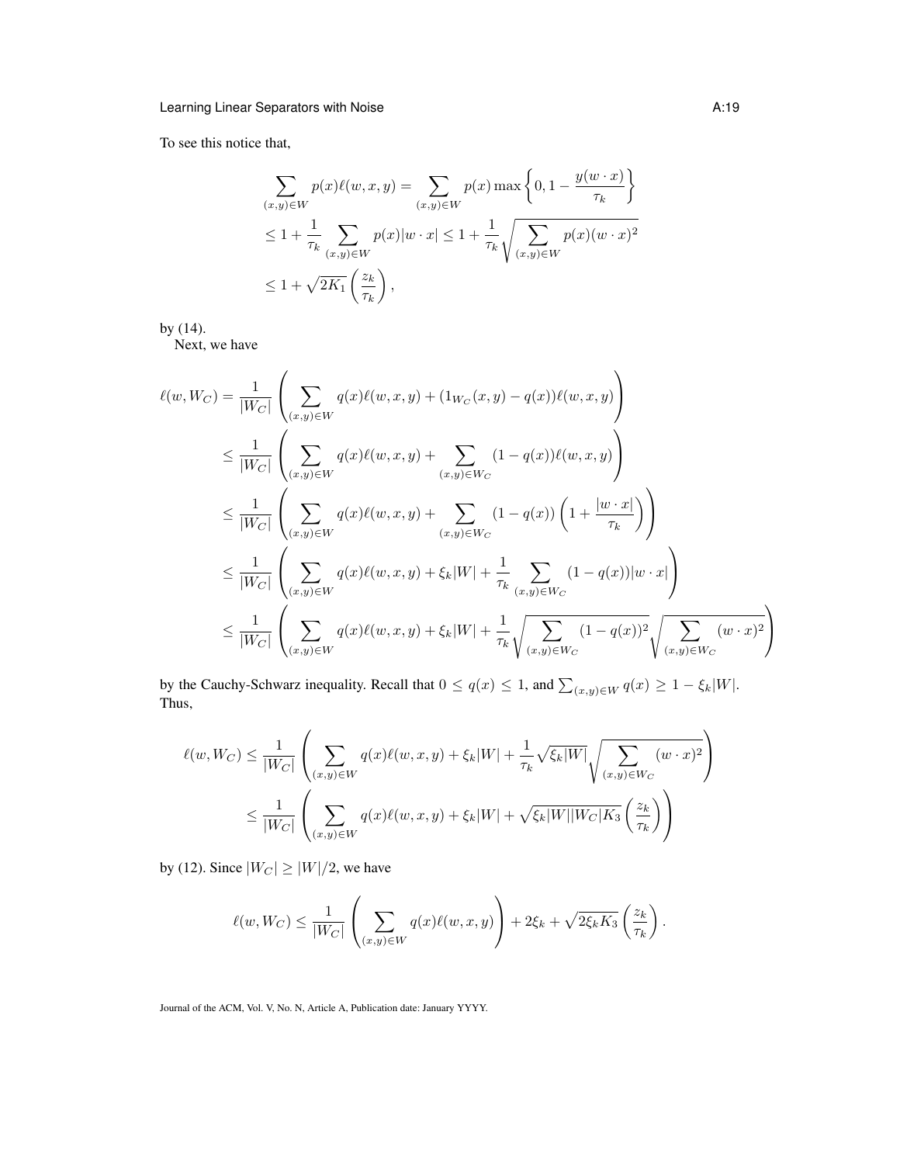To see this notice that,

$$
\sum_{(x,y)\in W} p(x)\ell(w,x,y) = \sum_{(x,y)\in W} p(x) \max\left\{0, 1 - \frac{y(w \cdot x)}{\tau_k}\right\}
$$
  
\n
$$
\leq 1 + \frac{1}{\tau_k} \sum_{(x,y)\in W} p(x)|w \cdot x| \leq 1 + \frac{1}{\tau_k} \sqrt{\sum_{(x,y)\in W} p(x)(w \cdot x)^2}
$$
  
\n
$$
\leq 1 + \sqrt{2K_1} \left(\frac{z_k}{\tau_k}\right),
$$

by (14).

Next, we have

$$
\ell(w, W_C) = \frac{1}{|W_C|} \left( \sum_{(x,y)\in W} q(x)\ell(w, x, y) + (1_{W_C}(x, y) - q(x))\ell(w, x, y) \right)
$$
  
\n
$$
\leq \frac{1}{|W_C|} \left( \sum_{(x,y)\in W} q(x)\ell(w, x, y) + \sum_{(x,y)\in W_C} (1 - q(x))\ell(w, x, y) \right)
$$
  
\n
$$
\leq \frac{1}{|W_C|} \left( \sum_{(x,y)\in W} q(x)\ell(w, x, y) + \sum_{(x,y)\in W_C} (1 - q(x)) \left( 1 + \frac{|w \cdot x|}{\tau_k} \right) \right)
$$
  
\n
$$
\leq \frac{1}{|W_C|} \left( \sum_{(x,y)\in W} q(x)\ell(w, x, y) + \xi_k |W| + \frac{1}{\tau_k} \sum_{(x,y)\in W_C} (1 - q(x)) |w \cdot x| \right)
$$
  
\n
$$
\leq \frac{1}{|W_C|} \left( \sum_{(x,y)\in W} q(x)\ell(w, x, y) + \xi_k |W| + \frac{1}{\tau_k} \sqrt{\sum_{(x,y)\in W_C} (1 - q(x))^2} \sqrt{\sum_{(x,y)\in W_C} (w \cdot x)^2} \right)
$$

by the Cauchy-Schwarz inequality. Recall that  $0 \le q(x) \le 1$ , and  $\sum_{(x,y)\in W} q(x) \ge 1 - \xi_k |W|$ . Thus,

$$
\ell(w, W_C) \le \frac{1}{|W_C|} \left( \sum_{(x,y)\in W} q(x)\ell(w, x, y) + \xi_k|W| + \frac{1}{\tau_k} \sqrt{\xi_k|W|} \sqrt{\sum_{(x,y)\in W_C} (w \cdot x)^2} \right)
$$
  

$$
\le \frac{1}{|W_C|} \left( \sum_{(x,y)\in W} q(x)\ell(w, x, y) + \xi_k|W| + \sqrt{\xi_k|W||W_C|K_3} \left(\frac{z_k}{\tau_k}\right) \right)
$$

by (12). Since  $|W_C| \ge |W|/2$ , we have

$$
\ell(w,W_C) \leq \frac{1}{|W_C|} \left( \sum_{(x,y) \in W} q(x) \ell(w,x,y) \right) + 2\xi_k + \sqrt{2\xi_k K_3} \left( \frac{z_k}{\tau_k} \right).
$$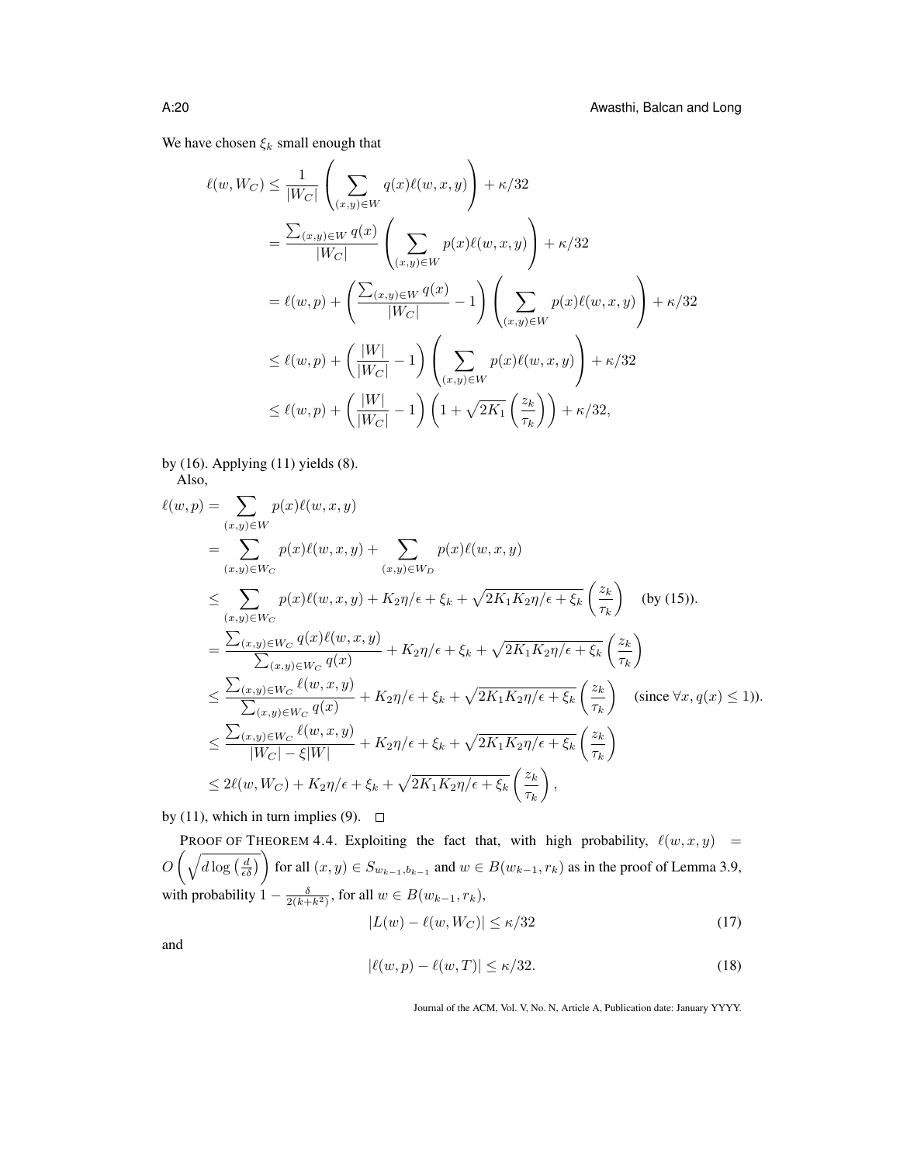We have chosen  $\xi_k$  small enough that

$$
\ell(w, W_C) \leq \frac{1}{|W_C|} \left( \sum_{(x,y)\in W} q(x)\ell(w, x, y) \right) + \kappa/32
$$
  
\n
$$
= \frac{\sum_{(x,y)\in W} q(x)}{|W_C|} \left( \sum_{(x,y)\in W} p(x)\ell(w, x, y) \right) + \kappa/32
$$
  
\n
$$
= \ell(w, p) + \left( \frac{\sum_{(x,y)\in W} q(x)}{|W_C|} - 1 \right) \left( \sum_{(x,y)\in W} p(x)\ell(w, x, y) \right) + \kappa/32
$$
  
\n
$$
\leq \ell(w, p) + \left( \frac{|W|}{|W_C|} - 1 \right) \left( \sum_{(x,y)\in W} p(x)\ell(w, x, y) \right) + \kappa/32
$$
  
\n
$$
\leq \ell(w, p) + \left( \frac{|W|}{|W_C|} - 1 \right) \left( 1 + \sqrt{2K_1} \left( \frac{z_k}{\tau_k} \right) \right) + \kappa/32,
$$

by (16). Applying (11) yields (8). Also,

$$
\ell(w, p) = \sum_{(x,y)\in W} p(x)\ell(w, x, y)
$$
\n
$$
= \sum_{(x,y)\in W_C} p(x)\ell(w, x, y) + \sum_{(x,y)\in W_D} p(x)\ell(w, x, y)
$$
\n
$$
\leq \sum_{(x,y)\in W_C} p(x)\ell(w, x, y) + K_2\eta/\epsilon + \xi_k + \sqrt{2K_1K_2\eta/\epsilon + \xi_k} \left(\frac{z_k}{\tau_k}\right) \quad \text{(by (15))}.
$$
\n
$$
= \frac{\sum_{(x,y)\in W_C} q(x)\ell(w, x, y)}{\sum_{(x,y)\in W_C} q(x)} + K_2\eta/\epsilon + \xi_k + \sqrt{2K_1K_2\eta/\epsilon + \xi_k} \left(\frac{z_k}{\tau_k}\right)
$$
\n
$$
\leq \frac{\sum_{(x,y)\in W_C} \ell(w, x, y)}{\sum_{(x,y)\in W_C} q(x)} + K_2\eta/\epsilon + \xi_k + \sqrt{2K_1K_2\eta/\epsilon + \xi_k} \left(\frac{z_k}{\tau_k}\right) \quad \text{(since } \forall x, q(x) \leq 1\text{).}
$$
\n
$$
\leq \frac{\sum_{(x,y)\in W_C} \ell(w, x, y)}{|W_C| - \xi|W|} + K_2\eta/\epsilon + \xi_k + \sqrt{2K_1K_2\eta/\epsilon + \xi_k} \left(\frac{z_k}{\tau_k}\right)
$$
\n
$$
\leq 2\ell(w, W_C) + K_2\eta/\epsilon + \xi_k + \sqrt{2K_1K_2\eta/\epsilon + \xi_k} \left(\frac{z_k}{\tau_k}\right),
$$

by (11), which in turn implies (9).  $\Box$ 

PROOF OF THEOREM 4.4. Exploiting the fact that, with high probability,  $\ell(w, x, y) =$  $O\left(\sqrt{d\log\left(\frac{d}{\epsilon\delta}\right)}\right)$  for all  $(x, y) \in S_{w_{k-1}, b_{k-1}}$  and  $w \in B(w_{k-1}, r_k)$  as in the proof of Lemma 3.9, with probability  $1 - \frac{\delta}{2(k + k^2)}$ , for all  $w \in B(w_{k-1}, r_k)$ ,

$$
|L(w) - \ell(w, W_C)| \le \kappa/32\tag{17}
$$

and

$$
|\ell(w, p) - \ell(w, T)| \le \kappa/32. \tag{18}
$$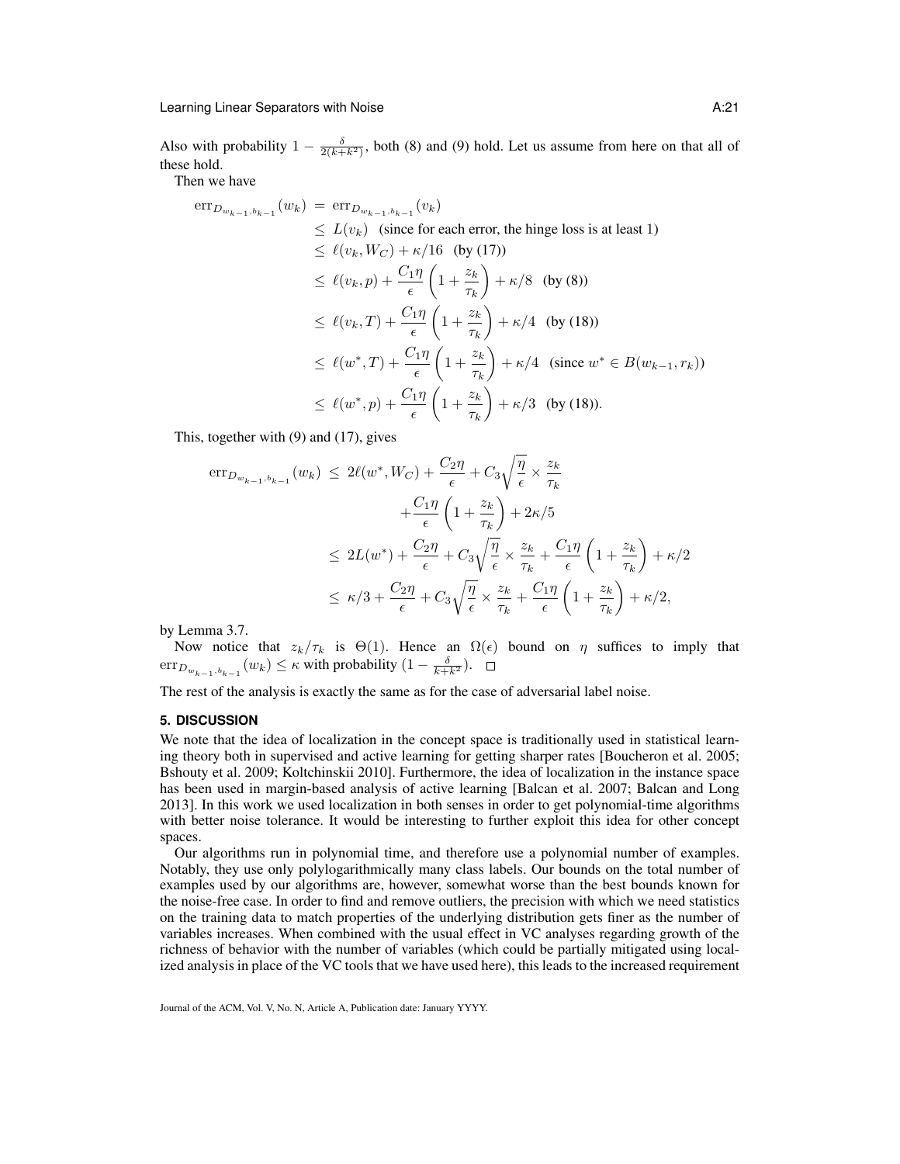Also with probability  $1 - \frac{\delta}{2(k+k^2)}$ , both (8) and (9) hold. Let us assume from here on that all of these hold.

Then we have

$$
\begin{split}\n\text{err}_{D_{w_{k-1},b_{k-1}}}(w_k) &= \text{err}_{D_{w_{k-1},b_{k-1}}}(v_k) \\
&\le L(v_k) \quad \text{(since for each error, the hinge loss is at least 1)} \\
&\le \ell(v_k, W_C) + \kappa/16 \quad \text{(by (17))} \\
&\le \ell(v_k, p) + \frac{C_1 \eta}{\epsilon} \left(1 + \frac{z_k}{\tau_k}\right) + \kappa/8 \quad \text{(by (8))} \\
&\le \ell(v_k, T) + \frac{C_1 \eta}{\epsilon} \left(1 + \frac{z_k}{\tau_k}\right) + \kappa/4 \quad \text{(by (18))} \\
&\le \ell(w^*, T) + \frac{C_1 \eta}{\epsilon} \left(1 + \frac{z_k}{\tau_k}\right) + \kappa/4 \quad \text{(since } w^* \in B(w_{k-1}, r_k)) \\
&\le \ell(w^*, p) + \frac{C_1 \eta}{\epsilon} \left(1 + \frac{z_k}{\tau_k}\right) + \kappa/3 \quad \text{(by (18))}.\n\end{split}
$$

This, together with (9) and (17), gives

$$
\begin{split} \mathrm{err}_{D_{w_{k-1},b_{k-1}}}(w_k) &\le 2\ell(w^*,W_C) + \frac{C_2\eta}{\epsilon} + C_3\sqrt{\frac{\eta}{\epsilon}} \times \frac{z_k}{\tau_k} \\ &+ \frac{C_1\eta}{\epsilon} \left(1 + \frac{z_k}{\tau_k}\right) + 2\kappa/5 \\ &\le 2L(w^*) + \frac{C_2\eta}{\epsilon} + C_3\sqrt{\frac{\eta}{\epsilon}} \times \frac{z_k}{\tau_k} + \frac{C_1\eta}{\epsilon} \left(1 + \frac{z_k}{\tau_k}\right) + \kappa/2 \\ &\le \kappa/3 + \frac{C_2\eta}{\epsilon} + C_3\sqrt{\frac{\eta}{\epsilon}} \times \frac{z_k}{\tau_k} + \frac{C_1\eta}{\epsilon} \left(1 + \frac{z_k}{\tau_k}\right) + \kappa/2, \end{split}
$$

by Lemma 3.7.

Now notice that  $z_k/\tau_k$  is  $\Theta(1)$ . Hence an  $\Omega(\epsilon)$  bound on  $\eta$  suffices to imply that  $\mathrm{err}_{D_{w_{k-1},b_{k-1}}}(w_k) \leq \kappa$  with probability  $(1-\frac{\delta}{k+k^2})$ .

The rest of the analysis is exactly the same as for the case of adversarial label noise.

# **5. DISCUSSION**

We note that the idea of localization in the concept space is traditionally used in statistical learning theory both in supervised and active learning for getting sharper rates [Boucheron et al. 2005; Bshouty et al. 2009; Koltchinskii 2010]. Furthermore, the idea of localization in the instance space has been used in margin-based analysis of active learning [Balcan et al. 2007; Balcan and Long 2013]. In this work we used localization in both senses in order to get polynomial-time algorithms with better noise tolerance. It would be interesting to further exploit this idea for other concept spaces.

Our algorithms run in polynomial time, and therefore use a polynomial number of examples. Notably, they use only polylogarithmically many class labels. Our bounds on the total number of examples used by our algorithms are, however, somewhat worse than the best bounds known for the noise-free case. In order to find and remove outliers, the precision with which we need statistics on the training data to match properties of the underlying distribution gets finer as the number of variables increases. When combined with the usual effect in VC analyses regarding growth of the richness of behavior with the number of variables (which could be partially mitigated using localized analysis in place of the VC tools that we have used here), this leads to the increased requirement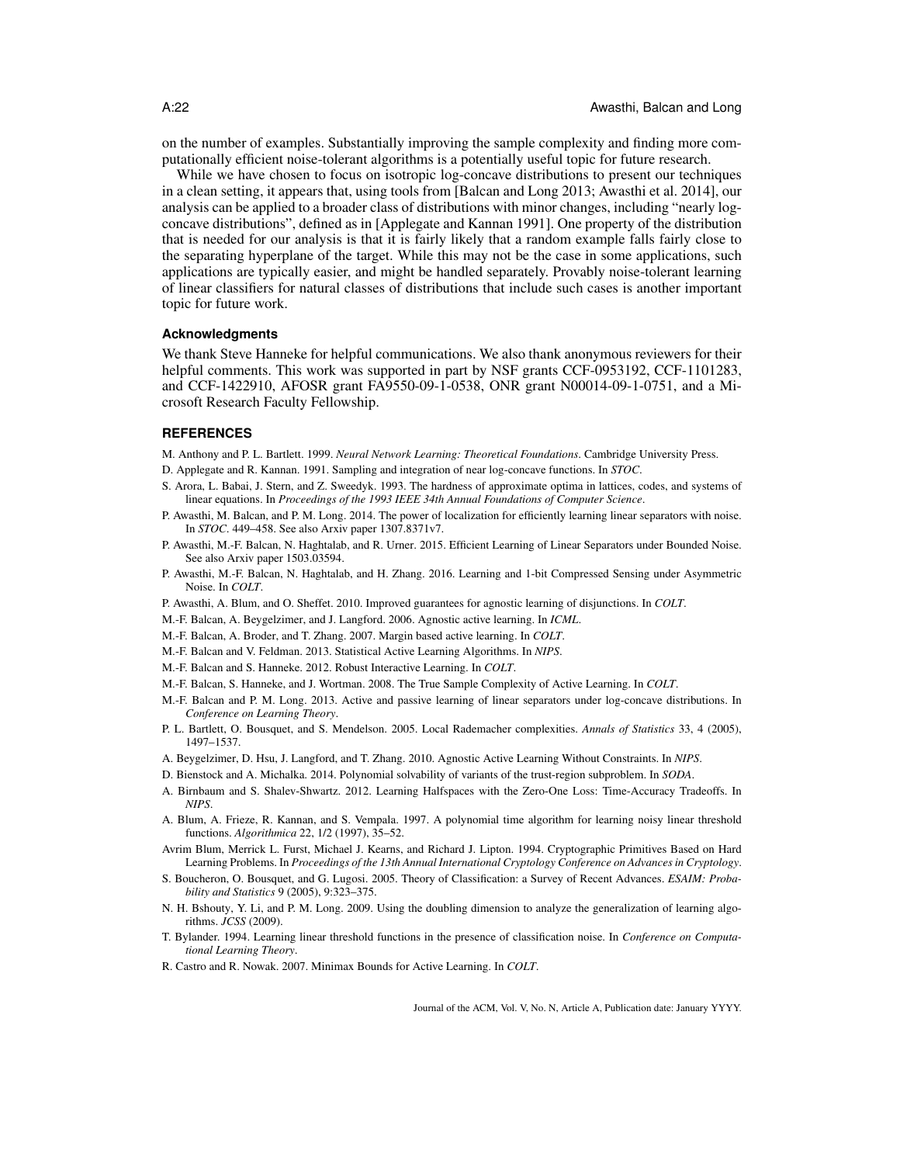on the number of examples. Substantially improving the sample complexity and finding more computationally efficient noise-tolerant algorithms is a potentially useful topic for future research.

While we have chosen to focus on isotropic log-concave distributions to present our techniques in a clean setting, it appears that, using tools from [Balcan and Long 2013; Awasthi et al. 2014], our analysis can be applied to a broader class of distributions with minor changes, including "nearly logconcave distributions", defined as in [Applegate and Kannan 1991]. One property of the distribution that is needed for our analysis is that it is fairly likely that a random example falls fairly close to the separating hyperplane of the target. While this may not be the case in some applications, such applications are typically easier, and might be handled separately. Provably noise-tolerant learning of linear classifiers for natural classes of distributions that include such cases is another important topic for future work.

### **Acknowledgments**

We thank Steve Hanneke for helpful communications. We also thank anonymous reviewers for their helpful comments. This work was supported in part by NSF grants CCF-0953192, CCF-1101283, and CCF-1422910, AFOSR grant FA9550-09-1-0538, ONR grant N00014-09-1-0751, and a Microsoft Research Faculty Fellowship.

#### **REFERENCES**

- M. Anthony and P. L. Bartlett. 1999. *Neural Network Learning: Theoretical Foundations*. Cambridge University Press.
- D. Applegate and R. Kannan. 1991. Sampling and integration of near log-concave functions. In *STOC*.
- S. Arora, L. Babai, J. Stern, and Z. Sweedyk. 1993. The hardness of approximate optima in lattices, codes, and systems of linear equations. In *Proceedings of the 1993 IEEE 34th Annual Foundations of Computer Science*.
- P. Awasthi, M. Balcan, and P. M. Long. 2014. The power of localization for efficiently learning linear separators with noise. In *STOC*. 449–458. See also Arxiv paper 1307.8371v7.
- P. Awasthi, M.-F. Balcan, N. Haghtalab, and R. Urner. 2015. Efficient Learning of Linear Separators under Bounded Noise. See also Arxiv paper 1503.03594.
- P. Awasthi, M.-F. Balcan, N. Haghtalab, and H. Zhang. 2016. Learning and 1-bit Compressed Sensing under Asymmetric Noise. In *COLT*.
- P. Awasthi, A. Blum, and O. Sheffet. 2010. Improved guarantees for agnostic learning of disjunctions. In *COLT*.
- M.-F. Balcan, A. Beygelzimer, and J. Langford. 2006. Agnostic active learning. In *ICML*.
- M.-F. Balcan, A. Broder, and T. Zhang. 2007. Margin based active learning. In *COLT*.
- M.-F. Balcan and V. Feldman. 2013. Statistical Active Learning Algorithms. In *NIPS*.
- M.-F. Balcan and S. Hanneke. 2012. Robust Interactive Learning. In *COLT*.
- M.-F. Balcan, S. Hanneke, and J. Wortman. 2008. The True Sample Complexity of Active Learning. In *COLT*.
- M.-F. Balcan and P. M. Long. 2013. Active and passive learning of linear separators under log-concave distributions. In *Conference on Learning Theory*.
- P. L. Bartlett, O. Bousquet, and S. Mendelson. 2005. Local Rademacher complexities. *Annals of Statistics* 33, 4 (2005), 1497–1537.
- A. Beygelzimer, D. Hsu, J. Langford, and T. Zhang. 2010. Agnostic Active Learning Without Constraints. In *NIPS*.
- D. Bienstock and A. Michalka. 2014. Polynomial solvability of variants of the trust-region subproblem. In *SODA*.
- A. Birnbaum and S. Shalev-Shwartz. 2012. Learning Halfspaces with the Zero-One Loss: Time-Accuracy Tradeoffs. In *NIPS*.
- A. Blum, A. Frieze, R. Kannan, and S. Vempala. 1997. A polynomial time algorithm for learning noisy linear threshold functions. *Algorithmica* 22, 1/2 (1997), 35–52.
- Avrim Blum, Merrick L. Furst, Michael J. Kearns, and Richard J. Lipton. 1994. Cryptographic Primitives Based on Hard Learning Problems. In *Proceedings of the 13th Annual International Cryptology Conference on Advances in Cryptology*.
- S. Boucheron, O. Bousquet, and G. Lugosi. 2005. Theory of Classification: a Survey of Recent Advances. *ESAIM: Probability and Statistics* 9 (2005), 9:323–375.
- N. H. Bshouty, Y. Li, and P. M. Long. 2009. Using the doubling dimension to analyze the generalization of learning algorithms. *JCSS* (2009).
- T. Bylander. 1994. Learning linear threshold functions in the presence of classification noise. In *Conference on Computational Learning Theory*.
- R. Castro and R. Nowak. 2007. Minimax Bounds for Active Learning. In *COLT*.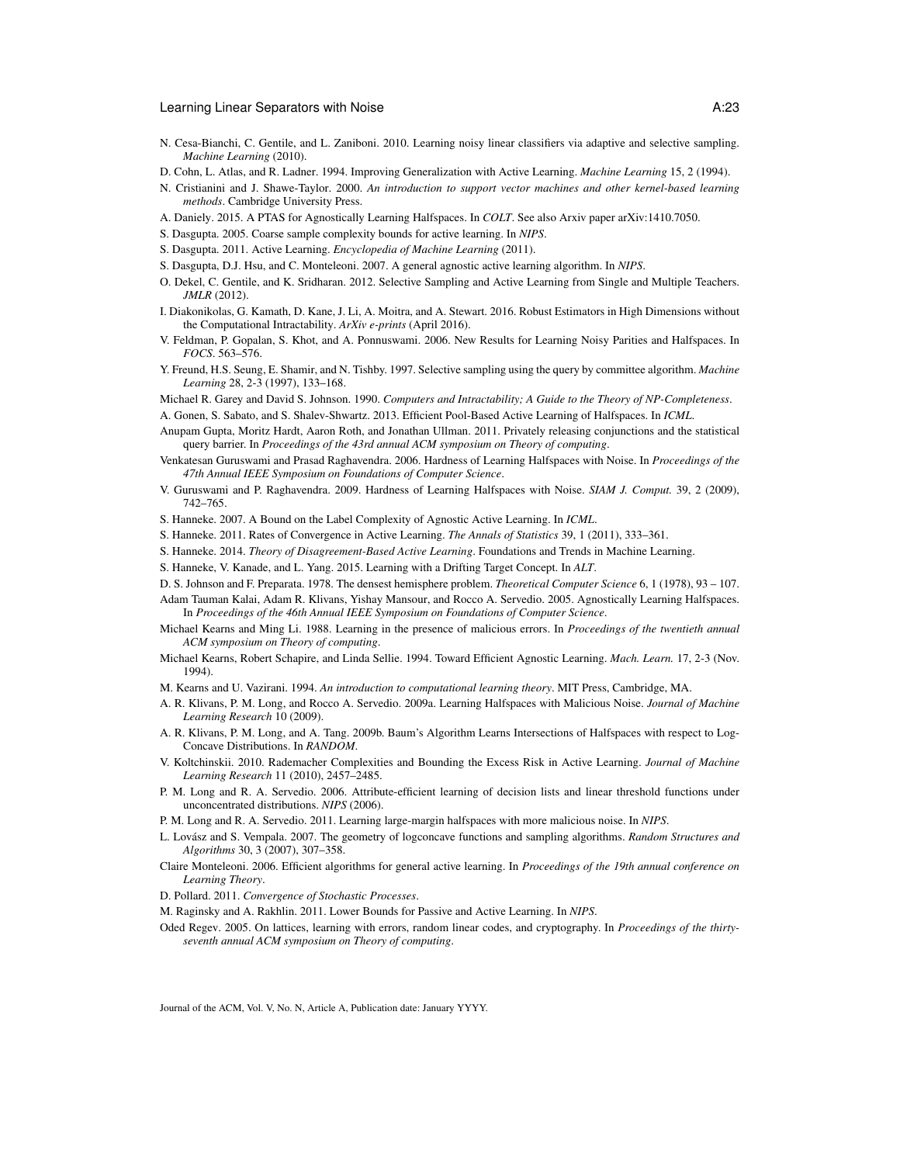- N. Cesa-Bianchi, C. Gentile, and L. Zaniboni. 2010. Learning noisy linear classifiers via adaptive and selective sampling. *Machine Learning* (2010).
- D. Cohn, L. Atlas, and R. Ladner. 1994. Improving Generalization with Active Learning. *Machine Learning* 15, 2 (1994).
- N. Cristianini and J. Shawe-Taylor. 2000. *An introduction to support vector machines and other kernel-based learning methods*. Cambridge University Press.
- A. Daniely. 2015. A PTAS for Agnostically Learning Halfspaces. In *COLT*. See also Arxiv paper arXiv:1410.7050.
- S. Dasgupta. 2005. Coarse sample complexity bounds for active learning. In *NIPS*.
- S. Dasgupta. 2011. Active Learning. *Encyclopedia of Machine Learning* (2011).
- S. Dasgupta, D.J. Hsu, and C. Monteleoni. 2007. A general agnostic active learning algorithm. In *NIPS*.
- O. Dekel, C. Gentile, and K. Sridharan. 2012. Selective Sampling and Active Learning from Single and Multiple Teachers. *JMLR* (2012).
- I. Diakonikolas, G. Kamath, D. Kane, J. Li, A. Moitra, and A. Stewart. 2016. Robust Estimators in High Dimensions without the Computational Intractability. *ArXiv e-prints* (April 2016).
- V. Feldman, P. Gopalan, S. Khot, and A. Ponnuswami. 2006. New Results for Learning Noisy Parities and Halfspaces. In *FOCS*. 563–576.
- Y. Freund, H.S. Seung, E. Shamir, and N. Tishby. 1997. Selective sampling using the query by committee algorithm. *Machine Learning* 28, 2-3 (1997), 133–168.
- Michael R. Garey and David S. Johnson. 1990. *Computers and Intractability; A Guide to the Theory of NP-Completeness*.
- A. Gonen, S. Sabato, and S. Shalev-Shwartz. 2013. Efficient Pool-Based Active Learning of Halfspaces. In *ICML*.
- Anupam Gupta, Moritz Hardt, Aaron Roth, and Jonathan Ullman. 2011. Privately releasing conjunctions and the statistical query barrier. In *Proceedings of the 43rd annual ACM symposium on Theory of computing*.
- Venkatesan Guruswami and Prasad Raghavendra. 2006. Hardness of Learning Halfspaces with Noise. In *Proceedings of the 47th Annual IEEE Symposium on Foundations of Computer Science*.
- V. Guruswami and P. Raghavendra. 2009. Hardness of Learning Halfspaces with Noise. *SIAM J. Comput.* 39, 2 (2009), 742–765.
- S. Hanneke. 2007. A Bound on the Label Complexity of Agnostic Active Learning. In *ICML*.
- S. Hanneke. 2011. Rates of Convergence in Active Learning. *The Annals of Statistics* 39, 1 (2011), 333–361.
- S. Hanneke. 2014. *Theory of Disagreement-Based Active Learning*. Foundations and Trends in Machine Learning.
- S. Hanneke, V. Kanade, and L. Yang. 2015. Learning with a Drifting Target Concept. In *ALT*.
- D. S. Johnson and F. Preparata. 1978. The densest hemisphere problem. *Theoretical Computer Science* 6, 1 (1978), 93 107.
- Adam Tauman Kalai, Adam R. Klivans, Yishay Mansour, and Rocco A. Servedio. 2005. Agnostically Learning Halfspaces. In *Proceedings of the 46th Annual IEEE Symposium on Foundations of Computer Science*.
- Michael Kearns and Ming Li. 1988. Learning in the presence of malicious errors. In *Proceedings of the twentieth annual ACM symposium on Theory of computing*.
- Michael Kearns, Robert Schapire, and Linda Sellie. 1994. Toward Efficient Agnostic Learning. *Mach. Learn.* 17, 2-3 (Nov. 1994).
- M. Kearns and U. Vazirani. 1994. *An introduction to computational learning theory*. MIT Press, Cambridge, MA.
- A. R. Klivans, P. M. Long, and Rocco A. Servedio. 2009a. Learning Halfspaces with Malicious Noise. *Journal of Machine Learning Research* 10 (2009).
- A. R. Klivans, P. M. Long, and A. Tang. 2009b. Baum's Algorithm Learns Intersections of Halfspaces with respect to Log-Concave Distributions. In *RANDOM*.
- V. Koltchinskii. 2010. Rademacher Complexities and Bounding the Excess Risk in Active Learning. *Journal of Machine Learning Research* 11 (2010), 2457–2485.
- P. M. Long and R. A. Servedio. 2006. Attribute-efficient learning of decision lists and linear threshold functions under unconcentrated distributions. *NIPS* (2006).
- P. M. Long and R. A. Servedio. 2011. Learning large-margin halfspaces with more malicious noise. In *NIPS*.
- L. Lovász and S. Vempala. 2007. The geometry of logconcave functions and sampling algorithms. *Random Structures and Algorithms* 30, 3 (2007), 307–358.
- Claire Monteleoni. 2006. Efficient algorithms for general active learning. In *Proceedings of the 19th annual conference on Learning Theory*.

D. Pollard. 2011. *Convergence of Stochastic Processes*.

- M. Raginsky and A. Rakhlin. 2011. Lower Bounds for Passive and Active Learning. In *NIPS*.
- Oded Regev. 2005. On lattices, learning with errors, random linear codes, and cryptography. In *Proceedings of the thirtyseventh annual ACM symposium on Theory of computing*.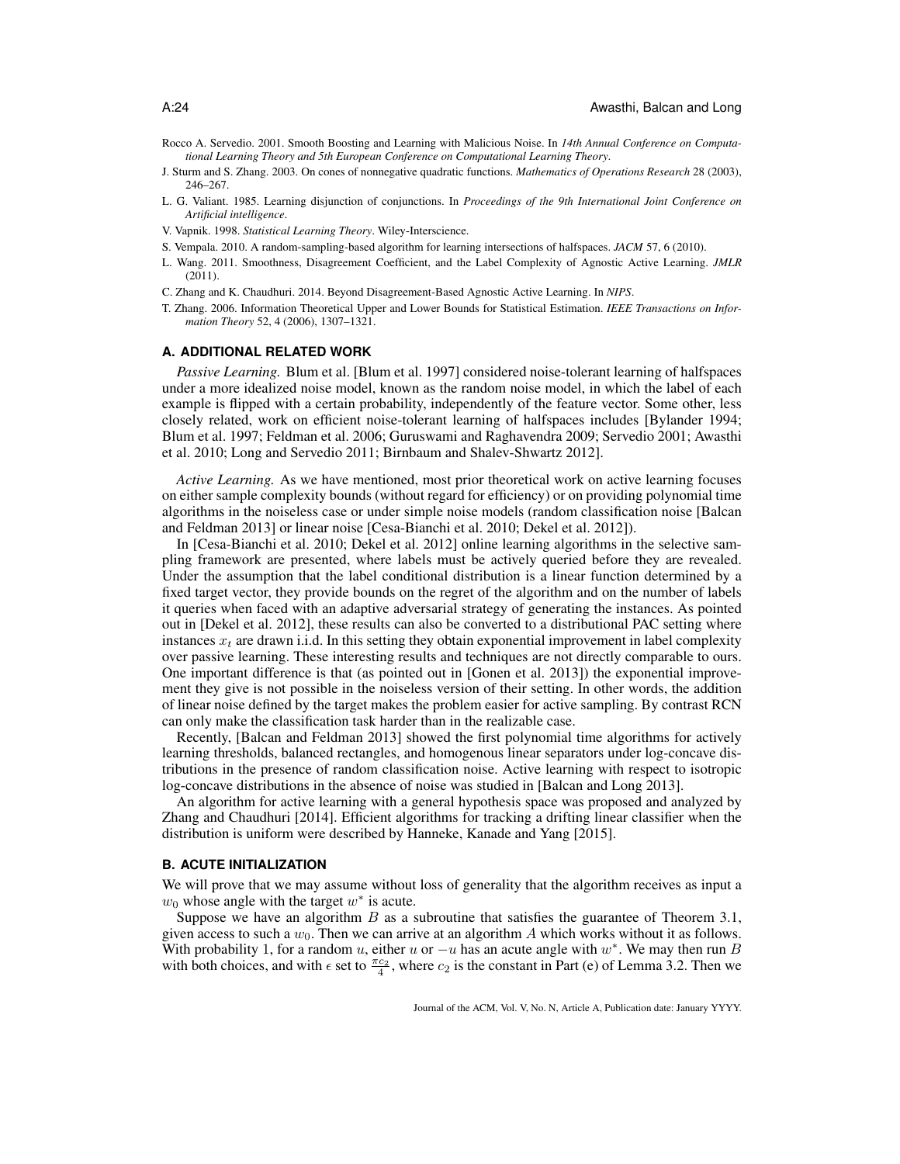- Rocco A. Servedio. 2001. Smooth Boosting and Learning with Malicious Noise. In *14th Annual Conference on Computational Learning Theory and 5th European Conference on Computational Learning Theory*.
- J. Sturm and S. Zhang. 2003. On cones of nonnegative quadratic functions. *Mathematics of Operations Research* 28 (2003), 246–267.
- L. G. Valiant. 1985. Learning disjunction of conjunctions. In *Proceedings of the 9th International Joint Conference on Artificial intelligence*.
- V. Vapnik. 1998. *Statistical Learning Theory*. Wiley-Interscience.
- S. Vempala. 2010. A random-sampling-based algorithm for learning intersections of halfspaces. *JACM* 57, 6 (2010).
- L. Wang. 2011. Smoothness, Disagreement Coefficient, and the Label Complexity of Agnostic Active Learning. *JMLR* (2011).
- C. Zhang and K. Chaudhuri. 2014. Beyond Disagreement-Based Agnostic Active Learning. In *NIPS*.
- T. Zhang. 2006. Information Theoretical Upper and Lower Bounds for Statistical Estimation. *IEEE Transactions on Information Theory* 52, 4 (2006), 1307–1321.

#### **A. ADDITIONAL RELATED WORK**

*Passive Learning.* Blum et al. [Blum et al. 1997] considered noise-tolerant learning of halfspaces under a more idealized noise model, known as the random noise model, in which the label of each example is flipped with a certain probability, independently of the feature vector. Some other, less closely related, work on efficient noise-tolerant learning of halfspaces includes [Bylander 1994; Blum et al. 1997; Feldman et al. 2006; Guruswami and Raghavendra 2009; Servedio 2001; Awasthi et al. 2010; Long and Servedio 2011; Birnbaum and Shalev-Shwartz 2012].

*Active Learning.* As we have mentioned, most prior theoretical work on active learning focuses on either sample complexity bounds (without regard for efficiency) or on providing polynomial time algorithms in the noiseless case or under simple noise models (random classification noise [Balcan and Feldman 2013] or linear noise [Cesa-Bianchi et al. 2010; Dekel et al. 2012]).

In [Cesa-Bianchi et al. 2010; Dekel et al. 2012] online learning algorithms in the selective sampling framework are presented, where labels must be actively queried before they are revealed. Under the assumption that the label conditional distribution is a linear function determined by a fixed target vector, they provide bounds on the regret of the algorithm and on the number of labels it queries when faced with an adaptive adversarial strategy of generating the instances. As pointed out in [Dekel et al. 2012], these results can also be converted to a distributional PAC setting where instances  $x_t$  are drawn i.i.d. In this setting they obtain exponential improvement in label complexity over passive learning. These interesting results and techniques are not directly comparable to ours. One important difference is that (as pointed out in [Gonen et al. 2013]) the exponential improvement they give is not possible in the noiseless version of their setting. In other words, the addition of linear noise defined by the target makes the problem easier for active sampling. By contrast RCN can only make the classification task harder than in the realizable case.

Recently, [Balcan and Feldman 2013] showed the first polynomial time algorithms for actively learning thresholds, balanced rectangles, and homogenous linear separators under log-concave distributions in the presence of random classification noise. Active learning with respect to isotropic log-concave distributions in the absence of noise was studied in [Balcan and Long 2013].

An algorithm for active learning with a general hypothesis space was proposed and analyzed by Zhang and Chaudhuri [2014]. Efficient algorithms for tracking a drifting linear classifier when the distribution is uniform were described by Hanneke, Kanade and Yang [2015].

### **B. ACUTE INITIALIZATION**

We will prove that we may assume without loss of generality that the algorithm receives as input a  $w_0$  whose angle with the target  $w^*$  is acute.

Suppose we have an algorithm  $B$  as a subroutine that satisfies the guarantee of Theorem 3.1, given access to such a  $w_0$ . Then we can arrive at an algorithm A which works without it as follows. With probability 1, for a random u, either u or  $-u$  has an acute angle with  $w^*$ . We may then run B with both choices, and with  $\epsilon$  set to  $\frac{\pi c_2}{4}$ , where  $c_2$  is the constant in Part (e) of Lemma 3.2. Then we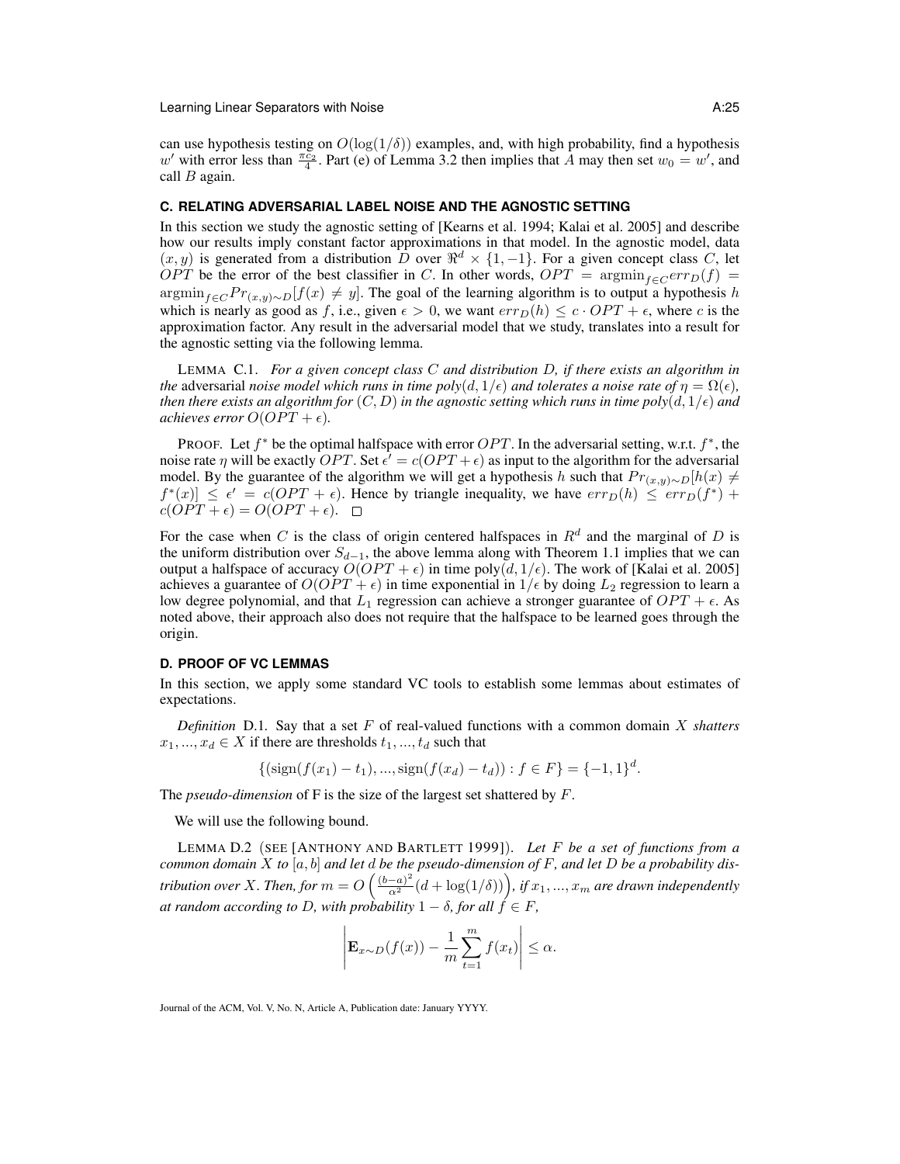can use hypothesis testing on  $O(\log(1/\delta))$  examples, and, with high probability, find a hypothesis w' with error less than  $\frac{\pi c_2}{4}$ . Part (e) of Lemma 3.2 then implies that A may then set  $w_0 = w'$ , and call  $B$  again.

### **C. RELATING ADVERSARIAL LABEL NOISE AND THE AGNOSTIC SETTING**

In this section we study the agnostic setting of [Kearns et al. 1994; Kalai et al. 2005] and describe how our results imply constant factor approximations in that model. In the agnostic model, data  $(x, y)$  is generated from a distribution  $\overline{D}$  over  $\mathbb{R}^d \times \{1, -1\}$ . For a given concept class C, let OPT be the error of the best classifier in C. In other words, OPT =  $\text{argmin}_{f \in \mathcal{C}} \text{err}_D(f)$  = argmin<sub>f∈C</sub> Pr<sub>(x,y)</sub>∼D[f(x)  $\neq$  y]. The goal of the learning algorithm is to output a hypothesis h which is nearly as good as f, i.e., given  $\epsilon > 0$ , we want  $err_D(h) \leq c \cdot OPT + \epsilon$ , where c is the approximation factor. Any result in the adversarial model that we study, translates into a result for the agnostic setting via the following lemma.

LEMMA C.1. *For a given concept class* C *and distribution* D*, if there exists an algorithm in the* adversarial *noise model which runs in time poly* $(d, 1/\epsilon)$  *and tolerates a noise rate of*  $\eta = \Omega(\epsilon)$ *, then there exists an algorithm for*  $(C, D)$  *in the agnostic setting which runs in time poly* $(d, 1/\epsilon)$  *and achieves error*  $O(OPT + \epsilon)$ *.* 

PROOF. Let  $f^*$  be the optimal halfspace with error  $OPT$ . In the adversarial setting, w.r.t.  $f^*$ , the noise rate  $\eta$  will be exactly  $OPT$ . Set  $\epsilon' = c(OPT + \epsilon)$  as input to the algorithm for the adversarial model. By the guarantee of the algorithm we will get a hypothesis h such that  $Pr_{(x,y)\sim D}[h(x) \neq$  $f^*(x) \le \epsilon' = c(OPT + \epsilon)$ . Hence by triangle inequality, we have  $err_D(h) \le err_D(f^*) +$  $c(OPT + \epsilon) = O(OPT + \epsilon).$ 

For the case when C is the class of origin centered halfspaces in  $R<sup>d</sup>$  and the marginal of D is the uniform distribution over  $S_{d-1}$ , the above lemma along with Theorem 1.1 implies that we can output a halfspace of accuracy  $O(OPT + \epsilon)$  in time poly $(d, 1/\epsilon)$ . The work of [Kalai et al. 2005] achieves a guarantee of  $O(OPT + \epsilon)$  in time exponential in  $1/\epsilon$  by doing  $L_2$  regression to learn a low degree polynomial, and that  $L_1$  regression can achieve a stronger guarantee of  $OPT + \epsilon$ . As noted above, their approach also does not require that the halfspace to be learned goes through the origin.

# **D. PROOF OF VC LEMMAS**

In this section, we apply some standard VC tools to establish some lemmas about estimates of expectations.

*Definition* D.1*.* Say that a set F of real-valued functions with a common domain X *shatters*  $x_1, ..., x_d \in X$  if there are thresholds  $t_1, ..., t_d$  such that

$$
\{(\text{sign}(f(x_1) - t_1), ..., \text{sign}(f(x_d) - t_d)) : f \in F\} = \{-1, 1\}^d.
$$

The *pseudo-dimension* of F is the size of the largest set shattered by F.

We will use the following bound.

LEMMA D.2 (SEE [ANTHONY AND BARTLETT 1999]). *Let* F *be a set of functions from a common domain* X *to* [a, b] *and let* d *be the pseudo-dimension of* F*, and let* D *be a probability distribution over X. Then, for*  $m = O\left(\frac{(b-a)^2}{\alpha^2}(d+\log(1/\delta))\right)$ , *if*  $x_1, ..., x_m$  are drawn independently *at random according to D, with probability*  $1 - \delta$ *, for all*  $f \in F$ *,* 

$$
\left|\mathbf{E}_{x \sim D}(f(x)) - \frac{1}{m} \sum_{t=1}^{m} f(x_t)\right| \leq \alpha.
$$